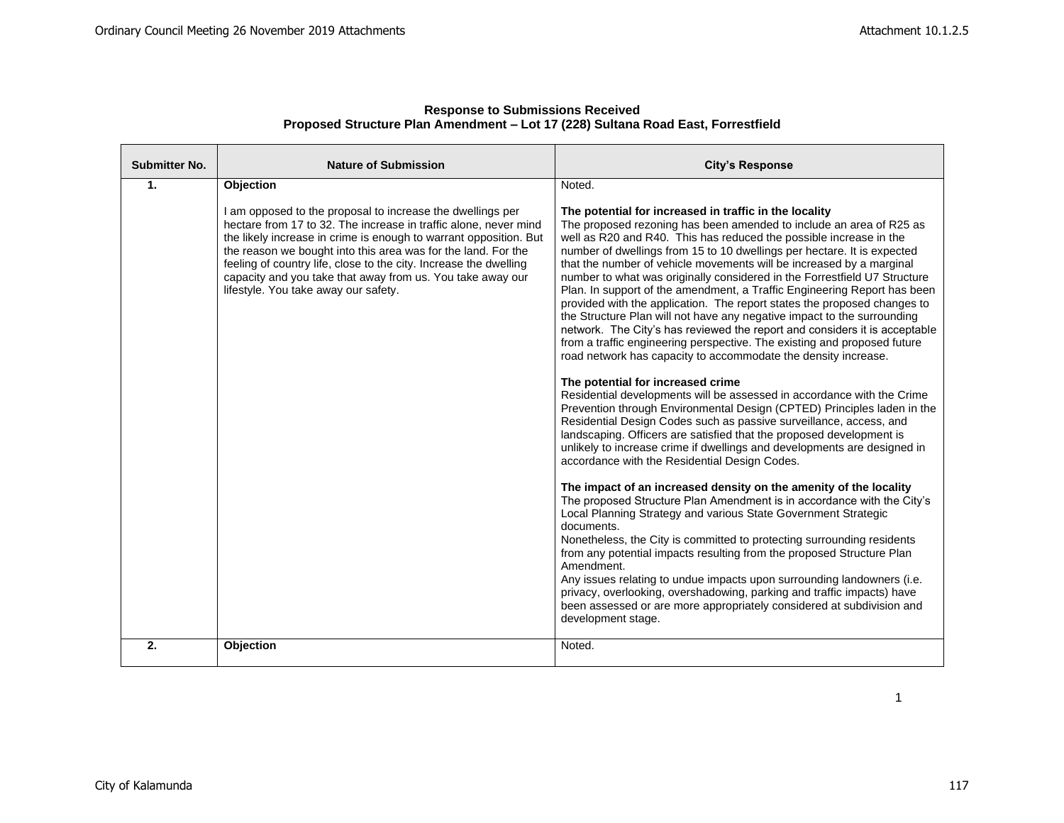| <b>Submitter No.</b> | <b>Nature of Submission</b>                                                                                                                                                                                                                                                                                                                                                                                                                     | <b>City's Response</b>                                                                                                                                                                                                                                                                                                                                                                                                                                                                                                                                                                                                                                                                                                                                                                                                                                                                             |
|----------------------|-------------------------------------------------------------------------------------------------------------------------------------------------------------------------------------------------------------------------------------------------------------------------------------------------------------------------------------------------------------------------------------------------------------------------------------------------|----------------------------------------------------------------------------------------------------------------------------------------------------------------------------------------------------------------------------------------------------------------------------------------------------------------------------------------------------------------------------------------------------------------------------------------------------------------------------------------------------------------------------------------------------------------------------------------------------------------------------------------------------------------------------------------------------------------------------------------------------------------------------------------------------------------------------------------------------------------------------------------------------|
| $\mathbf{1}$ .       | Objection                                                                                                                                                                                                                                                                                                                                                                                                                                       | Noted.                                                                                                                                                                                                                                                                                                                                                                                                                                                                                                                                                                                                                                                                                                                                                                                                                                                                                             |
|                      | I am opposed to the proposal to increase the dwellings per<br>hectare from 17 to 32. The increase in traffic alone, never mind<br>the likely increase in crime is enough to warrant opposition. But<br>the reason we bought into this area was for the land. For the<br>feeling of country life, close to the city. Increase the dwelling<br>capacity and you take that away from us. You take away our<br>lifestyle. You take away our safety. | The potential for increased in traffic in the locality<br>The proposed rezoning has been amended to include an area of R25 as<br>well as R20 and R40. This has reduced the possible increase in the<br>number of dwellings from 15 to 10 dwellings per hectare. It is expected<br>that the number of vehicle movements will be increased by a marginal<br>number to what was originally considered in the Forrestfield U7 Structure<br>Plan. In support of the amendment, a Traffic Engineering Report has been<br>provided with the application. The report states the proposed changes to<br>the Structure Plan will not have any negative impact to the surrounding<br>network. The City's has reviewed the report and considers it is acceptable<br>from a traffic engineering perspective. The existing and proposed future<br>road network has capacity to accommodate the density increase. |
|                      |                                                                                                                                                                                                                                                                                                                                                                                                                                                 | The potential for increased crime<br>Residential developments will be assessed in accordance with the Crime<br>Prevention through Environmental Design (CPTED) Principles laden in the<br>Residential Design Codes such as passive surveillance, access, and<br>landscaping. Officers are satisfied that the proposed development is<br>unlikely to increase crime if dwellings and developments are designed in<br>accordance with the Residential Design Codes.                                                                                                                                                                                                                                                                                                                                                                                                                                  |
|                      |                                                                                                                                                                                                                                                                                                                                                                                                                                                 | The impact of an increased density on the amenity of the locality<br>The proposed Structure Plan Amendment is in accordance with the City's<br>Local Planning Strategy and various State Government Strategic<br>documents.<br>Nonetheless, the City is committed to protecting surrounding residents<br>from any potential impacts resulting from the proposed Structure Plan<br>Amendment.<br>Any issues relating to undue impacts upon surrounding landowners (i.e.<br>privacy, overlooking, overshadowing, parking and traffic impacts) have<br>been assessed or are more appropriately considered at subdivision and<br>development stage.                                                                                                                                                                                                                                                    |
| 2.                   | Objection                                                                                                                                                                                                                                                                                                                                                                                                                                       | Noted.                                                                                                                                                                                                                                                                                                                                                                                                                                                                                                                                                                                                                                                                                                                                                                                                                                                                                             |

1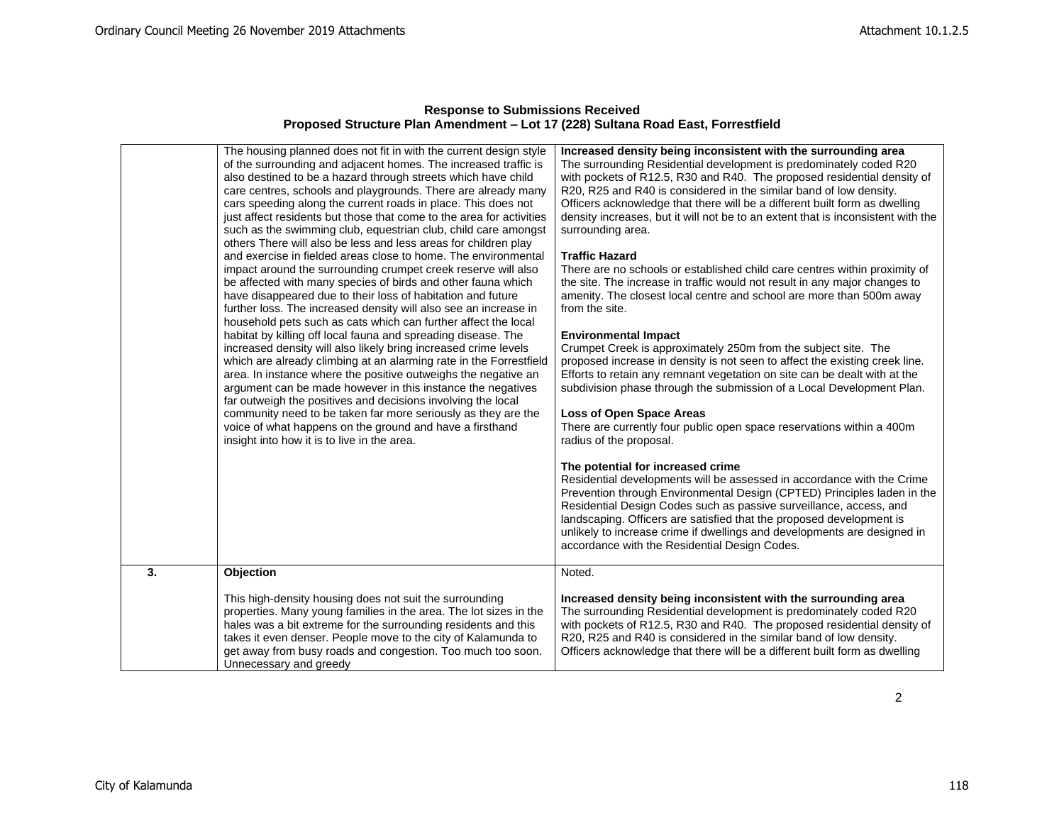|    | The housing planned does not fit in with the current design style<br>of the surrounding and adjacent homes. The increased traffic is<br>also destined to be a hazard through streets which have child<br>care centres, schools and playgrounds. There are already many<br>cars speeding along the current roads in place. This does not<br>just affect residents but those that come to the area for activities<br>such as the swimming club, equestrian club, child care amongst<br>others There will also be less and less areas for children play<br>and exercise in fielded areas close to home. The environmental<br>impact around the surrounding crumpet creek reserve will also<br>be affected with many species of birds and other fauna which<br>have disappeared due to their loss of habitation and future<br>further loss. The increased density will also see an increase in<br>household pets such as cats which can further affect the local<br>habitat by killing off local fauna and spreading disease. The<br>increased density will also likely bring increased crime levels<br>which are already climbing at an alarming rate in the Forrestfield<br>area. In instance where the positive outweighs the negative an<br>argument can be made however in this instance the negatives<br>far outweigh the positives and decisions involving the local<br>community need to be taken far more seriously as they are the<br>voice of what happens on the ground and have a firsthand<br>insight into how it is to live in the area. | Increased density being inconsistent with the surrounding area<br>The surrounding Residential development is predominately coded R20<br>with pockets of R12.5, R30 and R40. The proposed residential density of<br>R20, R25 and R40 is considered in the similar band of low density.<br>Officers acknowledge that there will be a different built form as dwelling<br>density increases, but it will not be to an extent that is inconsistent with the<br>surrounding area.<br><b>Traffic Hazard</b><br>There are no schools or established child care centres within proximity of<br>the site. The increase in traffic would not result in any major changes to<br>amenity. The closest local centre and school are more than 500m away<br>from the site.<br><b>Environmental Impact</b><br>Crumpet Creek is approximately 250m from the subject site. The<br>proposed increase in density is not seen to affect the existing creek line.<br>Efforts to retain any remnant vegetation on site can be dealt with at the<br>subdivision phase through the submission of a Local Development Plan.<br>Loss of Open Space Areas<br>There are currently four public open space reservations within a 400m<br>radius of the proposal.<br>The potential for increased crime<br>Residential developments will be assessed in accordance with the Crime<br>Prevention through Environmental Design (CPTED) Principles laden in the<br>Residential Design Codes such as passive surveillance, access, and<br>landscaping. Officers are satisfied that the proposed development is<br>unlikely to increase crime if dwellings and developments are designed in<br>accordance with the Residential Design Codes. |
|----|-----------------------------------------------------------------------------------------------------------------------------------------------------------------------------------------------------------------------------------------------------------------------------------------------------------------------------------------------------------------------------------------------------------------------------------------------------------------------------------------------------------------------------------------------------------------------------------------------------------------------------------------------------------------------------------------------------------------------------------------------------------------------------------------------------------------------------------------------------------------------------------------------------------------------------------------------------------------------------------------------------------------------------------------------------------------------------------------------------------------------------------------------------------------------------------------------------------------------------------------------------------------------------------------------------------------------------------------------------------------------------------------------------------------------------------------------------------------------------------------------------------------------------------------------------|--------------------------------------------------------------------------------------------------------------------------------------------------------------------------------------------------------------------------------------------------------------------------------------------------------------------------------------------------------------------------------------------------------------------------------------------------------------------------------------------------------------------------------------------------------------------------------------------------------------------------------------------------------------------------------------------------------------------------------------------------------------------------------------------------------------------------------------------------------------------------------------------------------------------------------------------------------------------------------------------------------------------------------------------------------------------------------------------------------------------------------------------------------------------------------------------------------------------------------------------------------------------------------------------------------------------------------------------------------------------------------------------------------------------------------------------------------------------------------------------------------------------------------------------------------------------------------------------------------------------------------------------------------------------------------------------------------|
| 3. | Objection                                                                                                                                                                                                                                                                                                                                                                                                                                                                                                                                                                                                                                                                                                                                                                                                                                                                                                                                                                                                                                                                                                                                                                                                                                                                                                                                                                                                                                                                                                                                           | Noted.                                                                                                                                                                                                                                                                                                                                                                                                                                                                                                                                                                                                                                                                                                                                                                                                                                                                                                                                                                                                                                                                                                                                                                                                                                                                                                                                                                                                                                                                                                                                                                                                                                                                                                 |
|    | This high-density housing does not suit the surrounding                                                                                                                                                                                                                                                                                                                                                                                                                                                                                                                                                                                                                                                                                                                                                                                                                                                                                                                                                                                                                                                                                                                                                                                                                                                                                                                                                                                                                                                                                             | Increased density being inconsistent with the surrounding area                                                                                                                                                                                                                                                                                                                                                                                                                                                                                                                                                                                                                                                                                                                                                                                                                                                                                                                                                                                                                                                                                                                                                                                                                                                                                                                                                                                                                                                                                                                                                                                                                                         |
|    | properties. Many young families in the area. The lot sizes in the<br>hales was a bit extreme for the surrounding residents and this<br>takes it even denser. People move to the city of Kalamunda to<br>get away from busy roads and congestion. Too much too soon.<br>Unnecessary and greedy                                                                                                                                                                                                                                                                                                                                                                                                                                                                                                                                                                                                                                                                                                                                                                                                                                                                                                                                                                                                                                                                                                                                                                                                                                                       | The surrounding Residential development is predominately coded R20<br>with pockets of R12.5, R30 and R40. The proposed residential density of<br>R20, R25 and R40 is considered in the similar band of low density.<br>Officers acknowledge that there will be a different built form as dwelling                                                                                                                                                                                                                                                                                                                                                                                                                                                                                                                                                                                                                                                                                                                                                                                                                                                                                                                                                                                                                                                                                                                                                                                                                                                                                                                                                                                                      |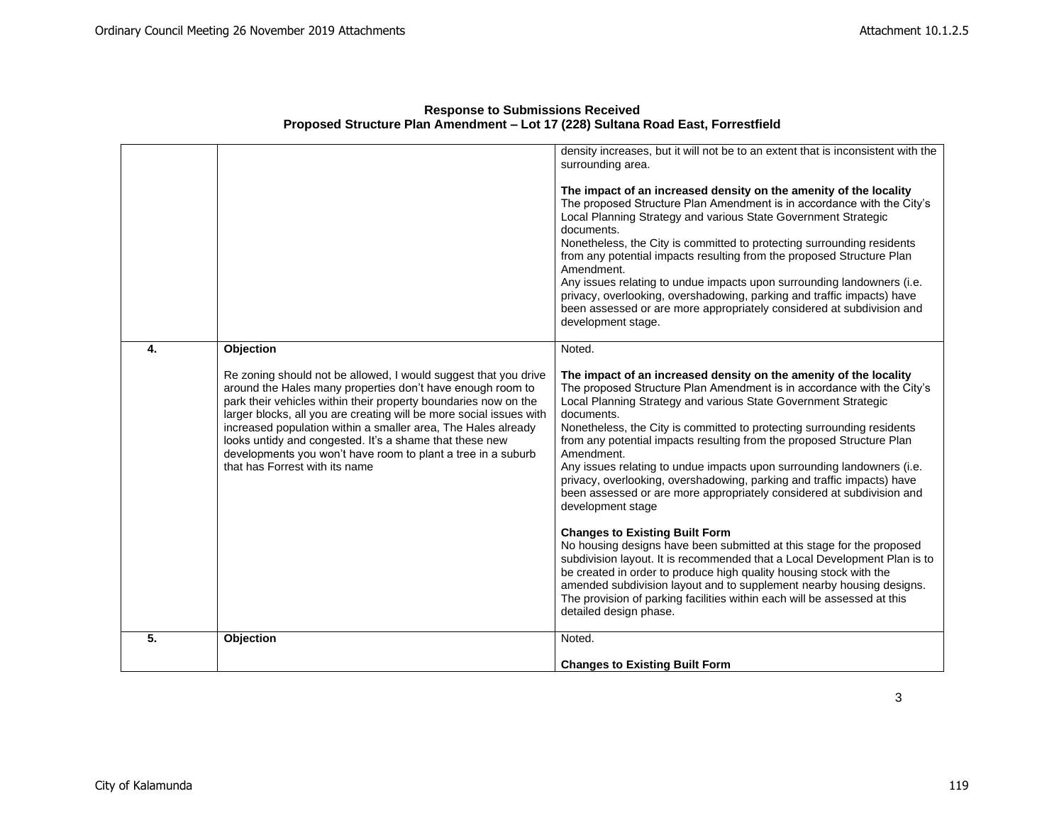|    |                                                                                                                                                                                                                                                                                                                                                                                                                                                                                                                    | density increases, but it will not be to an extent that is inconsistent with the<br>surrounding area.<br>The impact of an increased density on the amenity of the locality<br>The proposed Structure Plan Amendment is in accordance with the City's<br>Local Planning Strategy and various State Government Strategic<br>documents.<br>Nonetheless, the City is committed to protecting surrounding residents<br>from any potential impacts resulting from the proposed Structure Plan<br>Amendment.<br>Any issues relating to undue impacts upon surrounding landowners (i.e.<br>privacy, overlooking, overshadowing, parking and traffic impacts) have<br>been assessed or are more appropriately considered at subdivision and<br>development stage.                                                                                                                                                                                                                                                                                                                                                    |
|----|--------------------------------------------------------------------------------------------------------------------------------------------------------------------------------------------------------------------------------------------------------------------------------------------------------------------------------------------------------------------------------------------------------------------------------------------------------------------------------------------------------------------|-------------------------------------------------------------------------------------------------------------------------------------------------------------------------------------------------------------------------------------------------------------------------------------------------------------------------------------------------------------------------------------------------------------------------------------------------------------------------------------------------------------------------------------------------------------------------------------------------------------------------------------------------------------------------------------------------------------------------------------------------------------------------------------------------------------------------------------------------------------------------------------------------------------------------------------------------------------------------------------------------------------------------------------------------------------------------------------------------------------|
| 4. | Objection<br>Re zoning should not be allowed, I would suggest that you drive<br>around the Hales many properties don't have enough room to<br>park their vehicles within their property boundaries now on the<br>larger blocks, all you are creating will be more social issues with<br>increased population within a smaller area, The Hales already<br>looks untidy and congested. It's a shame that these new<br>developments you won't have room to plant a tree in a suburb<br>that has Forrest with its name | Noted.<br>The impact of an increased density on the amenity of the locality<br>The proposed Structure Plan Amendment is in accordance with the City's<br>Local Planning Strategy and various State Government Strategic<br>documents.<br>Nonetheless, the City is committed to protecting surrounding residents<br>from any potential impacts resulting from the proposed Structure Plan<br>Amendment.<br>Any issues relating to undue impacts upon surrounding landowners (i.e.<br>privacy, overlooking, overshadowing, parking and traffic impacts) have<br>been assessed or are more appropriately considered at subdivision and<br>development stage<br><b>Changes to Existing Built Form</b><br>No housing designs have been submitted at this stage for the proposed<br>subdivision layout. It is recommended that a Local Development Plan is to<br>be created in order to produce high quality housing stock with the<br>amended subdivision layout and to supplement nearby housing designs.<br>The provision of parking facilities within each will be assessed at this<br>detailed design phase. |
| 5. | Objection                                                                                                                                                                                                                                                                                                                                                                                                                                                                                                          | Noted.                                                                                                                                                                                                                                                                                                                                                                                                                                                                                                                                                                                                                                                                                                                                                                                                                                                                                                                                                                                                                                                                                                      |
|    |                                                                                                                                                                                                                                                                                                                                                                                                                                                                                                                    | <b>Changes to Existing Built Form</b>                                                                                                                                                                                                                                                                                                                                                                                                                                                                                                                                                                                                                                                                                                                                                                                                                                                                                                                                                                                                                                                                       |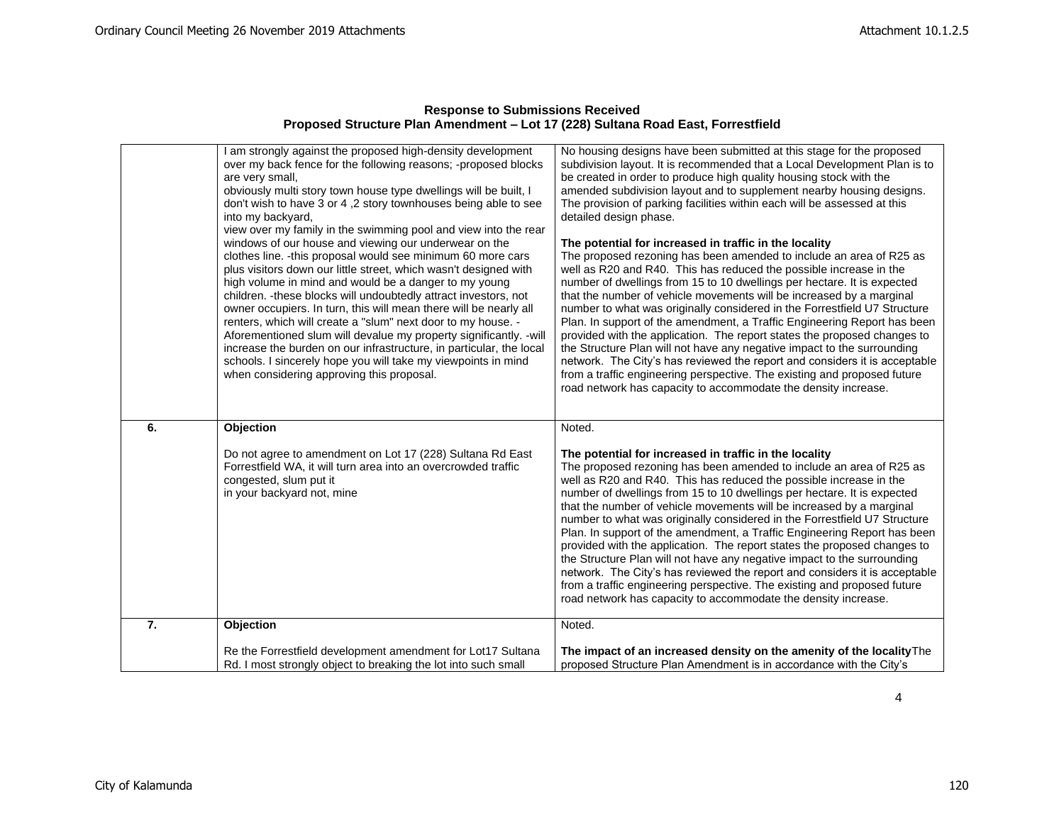| <b>Response to Submissions Received</b>                                          |
|----------------------------------------------------------------------------------|
| Proposed Structure Plan Amendment – Lot 17 (228) Sultana Road East, Forrestfield |

|    | I am strongly against the proposed high-density development<br>over my back fence for the following reasons; -proposed blocks<br>are very small,<br>obviously multi story town house type dwellings will be built, I<br>don't wish to have 3 or 4,2 story townhouses being able to see<br>into my backyard,<br>view over my family in the swimming pool and view into the rear<br>windows of our house and viewing our underwear on the<br>clothes line. - this proposal would see minimum 60 more cars<br>plus visitors down our little street, which wasn't designed with<br>high volume in mind and would be a danger to my young<br>children. - these blocks will undoubtedly attract investors, not<br>owner occupiers. In turn, this will mean there will be nearly all<br>renters, which will create a "slum" next door to my house. -<br>Aforementioned slum will devalue my property significantly. -will<br>increase the burden on our infrastructure, in particular, the local<br>schools. I sincerely hope you will take my viewpoints in mind<br>when considering approving this proposal. | No housing designs have been submitted at this stage for the proposed<br>subdivision layout. It is recommended that a Local Development Plan is to<br>be created in order to produce high quality housing stock with the<br>amended subdivision layout and to supplement nearby housing designs.<br>The provision of parking facilities within each will be assessed at this<br>detailed design phase.<br>The potential for increased in traffic in the locality<br>The proposed rezoning has been amended to include an area of R25 as<br>well as R20 and R40. This has reduced the possible increase in the<br>number of dwellings from 15 to 10 dwellings per hectare. It is expected<br>that the number of vehicle movements will be increased by a marginal<br>number to what was originally considered in the Forrestfield U7 Structure<br>Plan. In support of the amendment, a Traffic Engineering Report has been<br>provided with the application. The report states the proposed changes to<br>the Structure Plan will not have any negative impact to the surrounding<br>network. The City's has reviewed the report and considers it is acceptable<br>from a traffic engineering perspective. The existing and proposed future<br>road network has capacity to accommodate the density increase. |
|----|---------------------------------------------------------------------------------------------------------------------------------------------------------------------------------------------------------------------------------------------------------------------------------------------------------------------------------------------------------------------------------------------------------------------------------------------------------------------------------------------------------------------------------------------------------------------------------------------------------------------------------------------------------------------------------------------------------------------------------------------------------------------------------------------------------------------------------------------------------------------------------------------------------------------------------------------------------------------------------------------------------------------------------------------------------------------------------------------------------|--------------------------------------------------------------------------------------------------------------------------------------------------------------------------------------------------------------------------------------------------------------------------------------------------------------------------------------------------------------------------------------------------------------------------------------------------------------------------------------------------------------------------------------------------------------------------------------------------------------------------------------------------------------------------------------------------------------------------------------------------------------------------------------------------------------------------------------------------------------------------------------------------------------------------------------------------------------------------------------------------------------------------------------------------------------------------------------------------------------------------------------------------------------------------------------------------------------------------------------------------------------------------------------------------------------|
| 6. | Objection                                                                                                                                                                                                                                                                                                                                                                                                                                                                                                                                                                                                                                                                                                                                                                                                                                                                                                                                                                                                                                                                                               | Noted.                                                                                                                                                                                                                                                                                                                                                                                                                                                                                                                                                                                                                                                                                                                                                                                                                                                                                                                                                                                                                                                                                                                                                                                                                                                                                                       |
|    | Do not agree to amendment on Lot 17 (228) Sultana Rd East<br>Forrestfield WA, it will turn area into an overcrowded traffic<br>congested, slum put it<br>in your backyard not, mine                                                                                                                                                                                                                                                                                                                                                                                                                                                                                                                                                                                                                                                                                                                                                                                                                                                                                                                     | The potential for increased in traffic in the locality<br>The proposed rezoning has been amended to include an area of R25 as<br>well as R20 and R40. This has reduced the possible increase in the<br>number of dwellings from 15 to 10 dwellings per hectare. It is expected<br>that the number of vehicle movements will be increased by a marginal<br>number to what was originally considered in the Forrestfield U7 Structure<br>Plan. In support of the amendment, a Traffic Engineering Report has been<br>provided with the application. The report states the proposed changes to<br>the Structure Plan will not have any negative impact to the surrounding<br>network. The City's has reviewed the report and considers it is acceptable<br>from a traffic engineering perspective. The existing and proposed future<br>road network has capacity to accommodate the density increase.                                                                                                                                                                                                                                                                                                                                                                                                           |
| 7. | Objection                                                                                                                                                                                                                                                                                                                                                                                                                                                                                                                                                                                                                                                                                                                                                                                                                                                                                                                                                                                                                                                                                               | Noted.                                                                                                                                                                                                                                                                                                                                                                                                                                                                                                                                                                                                                                                                                                                                                                                                                                                                                                                                                                                                                                                                                                                                                                                                                                                                                                       |
|    | Re the Forrestfield development amendment for Lot17 Sultana<br>Rd. I most strongly object to breaking the lot into such small                                                                                                                                                                                                                                                                                                                                                                                                                                                                                                                                                                                                                                                                                                                                                                                                                                                                                                                                                                           | The impact of an increased density on the amenity of the locality The<br>proposed Structure Plan Amendment is in accordance with the City's                                                                                                                                                                                                                                                                                                                                                                                                                                                                                                                                                                                                                                                                                                                                                                                                                                                                                                                                                                                                                                                                                                                                                                  |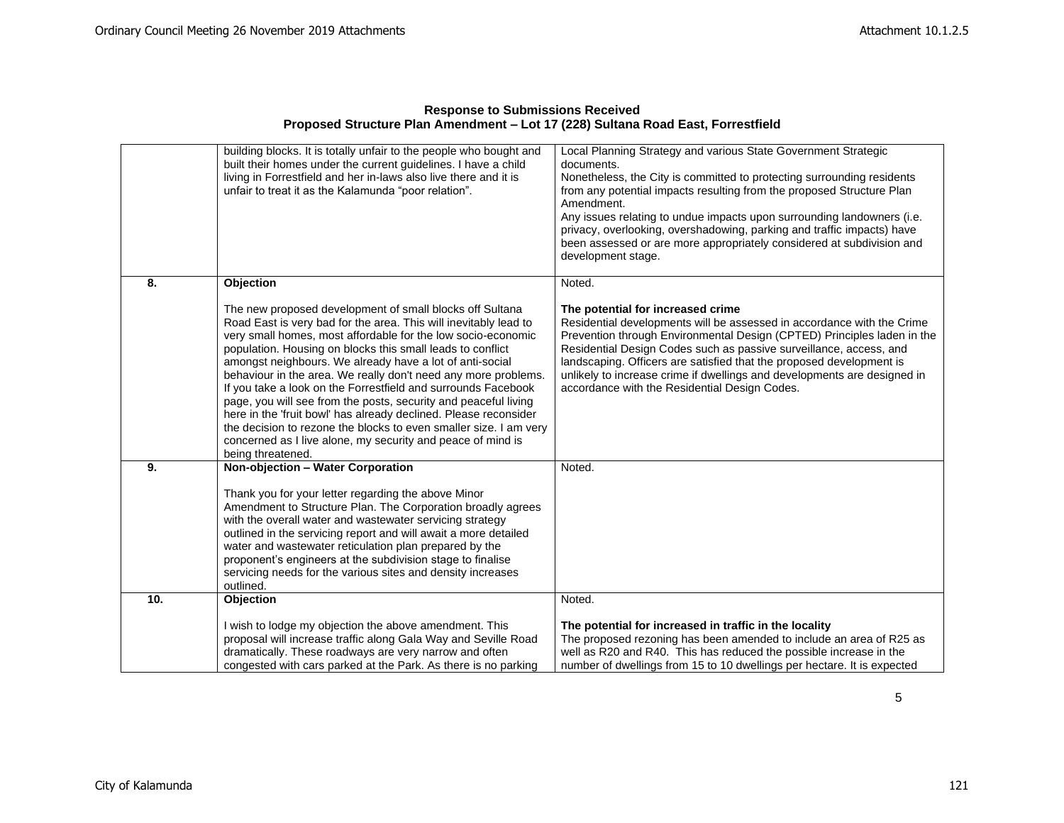| <b>Response to Submissions Received</b>                                          |
|----------------------------------------------------------------------------------|
| Proposed Structure Plan Amendment - Lot 17 (228) Sultana Road East, Forrestfield |

|     | building blocks. It is totally unfair to the people who bought and<br>built their homes under the current guidelines. I have a child<br>living in Forrestfield and her in-laws also live there and it is<br>unfair to treat it as the Kalamunda "poor relation".                                                                                                                                                                                                                                                                                                                                                                                                                                                                                          | Local Planning Strategy and various State Government Strategic<br>documents.<br>Nonetheless, the City is committed to protecting surrounding residents<br>from any potential impacts resulting from the proposed Structure Plan<br>Amendment.<br>Any issues relating to undue impacts upon surrounding landowners (i.e.<br>privacy, overlooking, overshadowing, parking and traffic impacts) have<br>been assessed or are more appropriately considered at subdivision and<br>development stage. |
|-----|-----------------------------------------------------------------------------------------------------------------------------------------------------------------------------------------------------------------------------------------------------------------------------------------------------------------------------------------------------------------------------------------------------------------------------------------------------------------------------------------------------------------------------------------------------------------------------------------------------------------------------------------------------------------------------------------------------------------------------------------------------------|--------------------------------------------------------------------------------------------------------------------------------------------------------------------------------------------------------------------------------------------------------------------------------------------------------------------------------------------------------------------------------------------------------------------------------------------------------------------------------------------------|
| 8.  | <b>Objection</b>                                                                                                                                                                                                                                                                                                                                                                                                                                                                                                                                                                                                                                                                                                                                          | Noted.                                                                                                                                                                                                                                                                                                                                                                                                                                                                                           |
|     | The new proposed development of small blocks off Sultana<br>Road East is very bad for the area. This will inevitably lead to<br>very small homes, most affordable for the low socio-economic<br>population. Housing on blocks this small leads to conflict<br>amongst neighbours. We already have a lot of anti-social<br>behaviour in the area. We really don't need any more problems.<br>If you take a look on the Forrestfield and surrounds Facebook<br>page, you will see from the posts, security and peaceful living<br>here in the 'fruit bowl' has already declined. Please reconsider<br>the decision to rezone the blocks to even smaller size. I am very<br>concerned as I live alone, my security and peace of mind is<br>being threatened. | The potential for increased crime<br>Residential developments will be assessed in accordance with the Crime<br>Prevention through Environmental Design (CPTED) Principles laden in the<br>Residential Design Codes such as passive surveillance, access, and<br>landscaping. Officers are satisfied that the proposed development is<br>unlikely to increase crime if dwellings and developments are designed in<br>accordance with the Residential Design Codes.                                |
| 9.  | Non-objection - Water Corporation                                                                                                                                                                                                                                                                                                                                                                                                                                                                                                                                                                                                                                                                                                                         | Noted.                                                                                                                                                                                                                                                                                                                                                                                                                                                                                           |
|     | Thank you for your letter regarding the above Minor<br>Amendment to Structure Plan. The Corporation broadly agrees<br>with the overall water and wastewater servicing strategy<br>outlined in the servicing report and will await a more detailed<br>water and wastewater reticulation plan prepared by the<br>proponent's engineers at the subdivision stage to finalise<br>servicing needs for the various sites and density increases<br>outlined.                                                                                                                                                                                                                                                                                                     |                                                                                                                                                                                                                                                                                                                                                                                                                                                                                                  |
| 10. | <b>Objection</b>                                                                                                                                                                                                                                                                                                                                                                                                                                                                                                                                                                                                                                                                                                                                          | Noted.                                                                                                                                                                                                                                                                                                                                                                                                                                                                                           |
|     | I wish to lodge my objection the above amendment. This<br>proposal will increase traffic along Gala Way and Seville Road<br>dramatically. These roadways are very narrow and often<br>congested with cars parked at the Park. As there is no parking                                                                                                                                                                                                                                                                                                                                                                                                                                                                                                      | The potential for increased in traffic in the locality<br>The proposed rezoning has been amended to include an area of R25 as<br>well as R20 and R40. This has reduced the possible increase in the<br>number of dwellings from 15 to 10 dwellings per hectare. It is expected                                                                                                                                                                                                                   |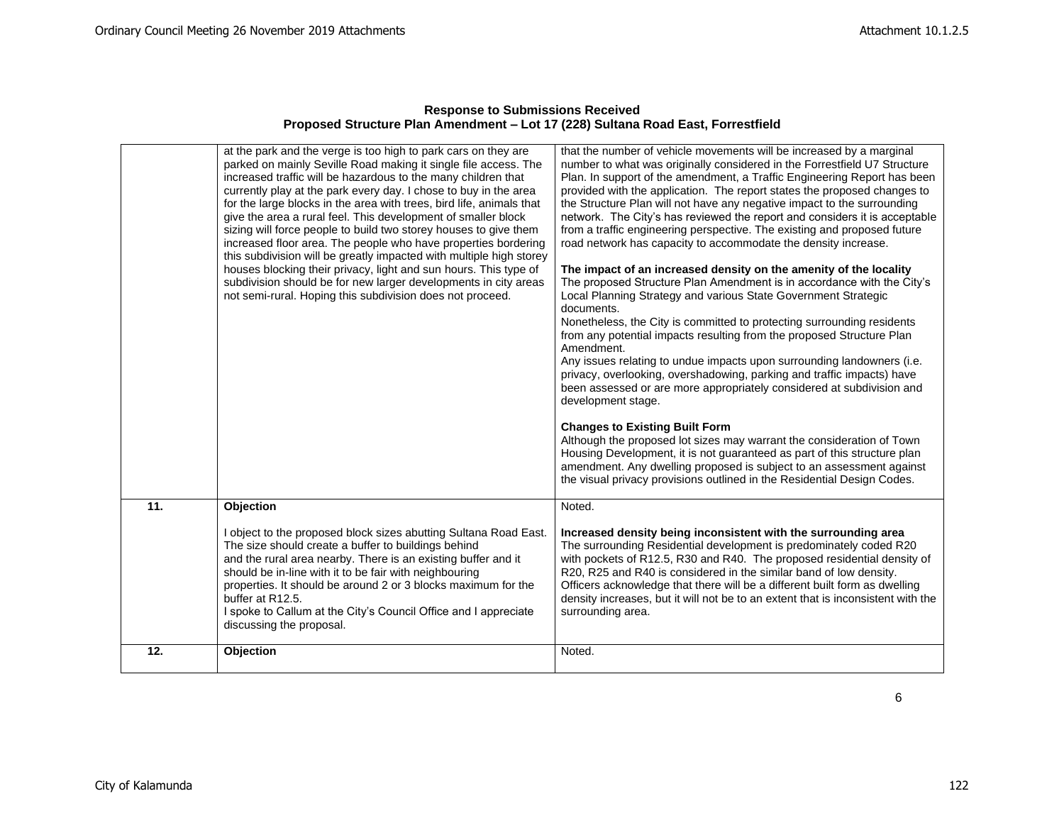|     | at the park and the verge is too high to park cars on they are<br>parked on mainly Seville Road making it single file access. The<br>increased traffic will be hazardous to the many children that<br>currently play at the park every day. I chose to buy in the area<br>for the large blocks in the area with trees, bird life, animals that<br>give the area a rural feel. This development of smaller block<br>sizing will force people to build two storey houses to give them<br>increased floor area. The people who have properties bordering<br>this subdivision will be greatly impacted with multiple high storey<br>houses blocking their privacy, light and sun hours. This type of<br>subdivision should be for new larger developments in city areas<br>not semi-rural. Hoping this subdivision does not proceed. | that the number of vehicle movements will be increased by a marginal<br>number to what was originally considered in the Forrestfield U7 Structure<br>Plan. In support of the amendment, a Traffic Engineering Report has been<br>provided with the application. The report states the proposed changes to<br>the Structure Plan will not have any negative impact to the surrounding<br>network. The City's has reviewed the report and considers it is acceptable<br>from a traffic engineering perspective. The existing and proposed future<br>road network has capacity to accommodate the density increase.<br>The impact of an increased density on the amenity of the locality<br>The proposed Structure Plan Amendment is in accordance with the City's<br>Local Planning Strategy and various State Government Strategic<br>documents.<br>Nonetheless, the City is committed to protecting surrounding residents<br>from any potential impacts resulting from the proposed Structure Plan<br>Amendment.<br>Any issues relating to undue impacts upon surrounding landowners (i.e.<br>privacy, overlooking, overshadowing, parking and traffic impacts) have<br>been assessed or are more appropriately considered at subdivision and<br>development stage.<br><b>Changes to Existing Built Form</b><br>Although the proposed lot sizes may warrant the consideration of Town<br>Housing Development, it is not guaranteed as part of this structure plan<br>amendment. Any dwelling proposed is subject to an assessment against |
|-----|----------------------------------------------------------------------------------------------------------------------------------------------------------------------------------------------------------------------------------------------------------------------------------------------------------------------------------------------------------------------------------------------------------------------------------------------------------------------------------------------------------------------------------------------------------------------------------------------------------------------------------------------------------------------------------------------------------------------------------------------------------------------------------------------------------------------------------|-------------------------------------------------------------------------------------------------------------------------------------------------------------------------------------------------------------------------------------------------------------------------------------------------------------------------------------------------------------------------------------------------------------------------------------------------------------------------------------------------------------------------------------------------------------------------------------------------------------------------------------------------------------------------------------------------------------------------------------------------------------------------------------------------------------------------------------------------------------------------------------------------------------------------------------------------------------------------------------------------------------------------------------------------------------------------------------------------------------------------------------------------------------------------------------------------------------------------------------------------------------------------------------------------------------------------------------------------------------------------------------------------------------------------------------------------------------------------------------------------------------------------------------------|
|     |                                                                                                                                                                                                                                                                                                                                                                                                                                                                                                                                                                                                                                                                                                                                                                                                                                  | the visual privacy provisions outlined in the Residential Design Codes.                                                                                                                                                                                                                                                                                                                                                                                                                                                                                                                                                                                                                                                                                                                                                                                                                                                                                                                                                                                                                                                                                                                                                                                                                                                                                                                                                                                                                                                                   |
| 11. | Objection                                                                                                                                                                                                                                                                                                                                                                                                                                                                                                                                                                                                                                                                                                                                                                                                                        | Noted.                                                                                                                                                                                                                                                                                                                                                                                                                                                                                                                                                                                                                                                                                                                                                                                                                                                                                                                                                                                                                                                                                                                                                                                                                                                                                                                                                                                                                                                                                                                                    |
|     | I object to the proposed block sizes abutting Sultana Road East.<br>The size should create a buffer to buildings behind<br>and the rural area nearby. There is an existing buffer and it<br>should be in-line with it to be fair with neighbouring<br>properties. It should be around 2 or 3 blocks maximum for the<br>buffer at R12.5.<br>I spoke to Callum at the City's Council Office and I appreciate<br>discussing the proposal.                                                                                                                                                                                                                                                                                                                                                                                           | Increased density being inconsistent with the surrounding area<br>The surrounding Residential development is predominately coded R20<br>with pockets of R12.5, R30 and R40. The proposed residential density of<br>R20, R25 and R40 is considered in the similar band of low density.<br>Officers acknowledge that there will be a different built form as dwelling<br>density increases, but it will not be to an extent that is inconsistent with the<br>surrounding area.                                                                                                                                                                                                                                                                                                                                                                                                                                                                                                                                                                                                                                                                                                                                                                                                                                                                                                                                                                                                                                                              |
| 12. | Objection                                                                                                                                                                                                                                                                                                                                                                                                                                                                                                                                                                                                                                                                                                                                                                                                                        | Noted.                                                                                                                                                                                                                                                                                                                                                                                                                                                                                                                                                                                                                                                                                                                                                                                                                                                                                                                                                                                                                                                                                                                                                                                                                                                                                                                                                                                                                                                                                                                                    |
|     |                                                                                                                                                                                                                                                                                                                                                                                                                                                                                                                                                                                                                                                                                                                                                                                                                                  |                                                                                                                                                                                                                                                                                                                                                                                                                                                                                                                                                                                                                                                                                                                                                                                                                                                                                                                                                                                                                                                                                                                                                                                                                                                                                                                                                                                                                                                                                                                                           |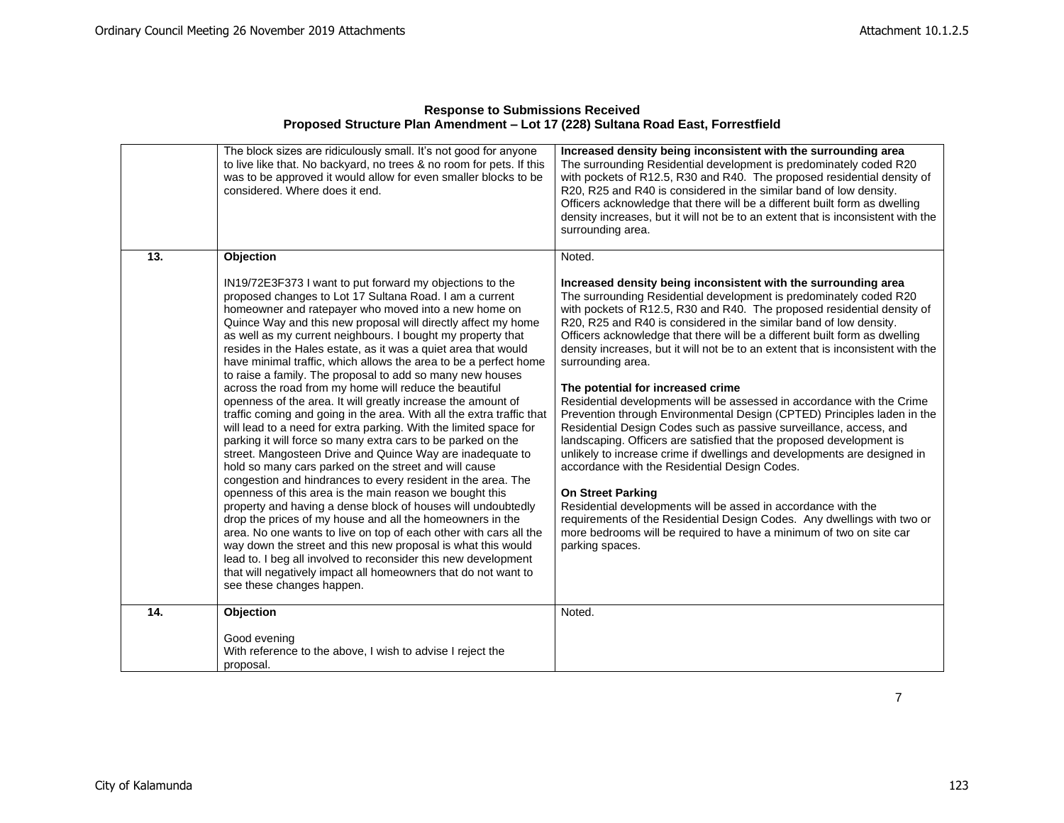|     | The block sizes are ridiculously small. It's not good for anyone<br>to live like that. No backyard, no trees & no room for pets. If this<br>was to be approved it would allow for even smaller blocks to be<br>considered. Where does it end.                                                                                                                                                                                                                                                                                                                                                                                                                                                                                                                                                                                                                                                                                                                                                                                                                                                                                                                                                                                                                                                                                                                                                                                                                                                                                              | Increased density being inconsistent with the surrounding area<br>The surrounding Residential development is predominately coded R20<br>with pockets of R12.5, R30 and R40. The proposed residential density of<br>R20, R25 and R40 is considered in the similar band of low density.<br>Officers acknowledge that there will be a different built form as dwelling<br>density increases, but it will not be to an extent that is inconsistent with the<br>surrounding area.                                                                                                                                                                                                                                                                                                                                                                                                                                                                                                                                                                                                                                                                                                                                        |
|-----|--------------------------------------------------------------------------------------------------------------------------------------------------------------------------------------------------------------------------------------------------------------------------------------------------------------------------------------------------------------------------------------------------------------------------------------------------------------------------------------------------------------------------------------------------------------------------------------------------------------------------------------------------------------------------------------------------------------------------------------------------------------------------------------------------------------------------------------------------------------------------------------------------------------------------------------------------------------------------------------------------------------------------------------------------------------------------------------------------------------------------------------------------------------------------------------------------------------------------------------------------------------------------------------------------------------------------------------------------------------------------------------------------------------------------------------------------------------------------------------------------------------------------------------------|---------------------------------------------------------------------------------------------------------------------------------------------------------------------------------------------------------------------------------------------------------------------------------------------------------------------------------------------------------------------------------------------------------------------------------------------------------------------------------------------------------------------------------------------------------------------------------------------------------------------------------------------------------------------------------------------------------------------------------------------------------------------------------------------------------------------------------------------------------------------------------------------------------------------------------------------------------------------------------------------------------------------------------------------------------------------------------------------------------------------------------------------------------------------------------------------------------------------|
| 13. | Objection                                                                                                                                                                                                                                                                                                                                                                                                                                                                                                                                                                                                                                                                                                                                                                                                                                                                                                                                                                                                                                                                                                                                                                                                                                                                                                                                                                                                                                                                                                                                  | Noted.                                                                                                                                                                                                                                                                                                                                                                                                                                                                                                                                                                                                                                                                                                                                                                                                                                                                                                                                                                                                                                                                                                                                                                                                              |
|     | IN19/72E3F373 I want to put forward my objections to the<br>proposed changes to Lot 17 Sultana Road. I am a current<br>homeowner and ratepayer who moved into a new home on<br>Quince Way and this new proposal will directly affect my home<br>as well as my current neighbours. I bought my property that<br>resides in the Hales estate, as it was a quiet area that would<br>have minimal traffic, which allows the area to be a perfect home<br>to raise a family. The proposal to add so many new houses<br>across the road from my home will reduce the beautiful<br>openness of the area. It will greatly increase the amount of<br>traffic coming and going in the area. With all the extra traffic that<br>will lead to a need for extra parking. With the limited space for<br>parking it will force so many extra cars to be parked on the<br>street. Mangosteen Drive and Quince Way are inadequate to<br>hold so many cars parked on the street and will cause<br>congestion and hindrances to every resident in the area. The<br>openness of this area is the main reason we bought this<br>property and having a dense block of houses will undoubtedly<br>drop the prices of my house and all the homeowners in the<br>area. No one wants to live on top of each other with cars all the<br>way down the street and this new proposal is what this would<br>lead to. I beg all involved to reconsider this new development<br>that will negatively impact all homeowners that do not want to<br>see these changes happen. | Increased density being inconsistent with the surrounding area<br>The surrounding Residential development is predominately coded R20<br>with pockets of R12.5, R30 and R40. The proposed residential density of<br>R20, R25 and R40 is considered in the similar band of low density.<br>Officers acknowledge that there will be a different built form as dwelling<br>density increases, but it will not be to an extent that is inconsistent with the<br>surrounding area.<br>The potential for increased crime<br>Residential developments will be assessed in accordance with the Crime<br>Prevention through Environmental Design (CPTED) Principles laden in the<br>Residential Design Codes such as passive surveillance, access, and<br>landscaping. Officers are satisfied that the proposed development is<br>unlikely to increase crime if dwellings and developments are designed in<br>accordance with the Residential Design Codes.<br><b>On Street Parking</b><br>Residential developments will be assed in accordance with the<br>requirements of the Residential Design Codes. Any dwellings with two or<br>more bedrooms will be required to have a minimum of two on site car<br>parking spaces. |
| 14. | Objection                                                                                                                                                                                                                                                                                                                                                                                                                                                                                                                                                                                                                                                                                                                                                                                                                                                                                                                                                                                                                                                                                                                                                                                                                                                                                                                                                                                                                                                                                                                                  | Noted.                                                                                                                                                                                                                                                                                                                                                                                                                                                                                                                                                                                                                                                                                                                                                                                                                                                                                                                                                                                                                                                                                                                                                                                                              |
|     | Good evening<br>With reference to the above, I wish to advise I reject the<br>proposal.                                                                                                                                                                                                                                                                                                                                                                                                                                                                                                                                                                                                                                                                                                                                                                                                                                                                                                                                                                                                                                                                                                                                                                                                                                                                                                                                                                                                                                                    |                                                                                                                                                                                                                                                                                                                                                                                                                                                                                                                                                                                                                                                                                                                                                                                                                                                                                                                                                                                                                                                                                                                                                                                                                     |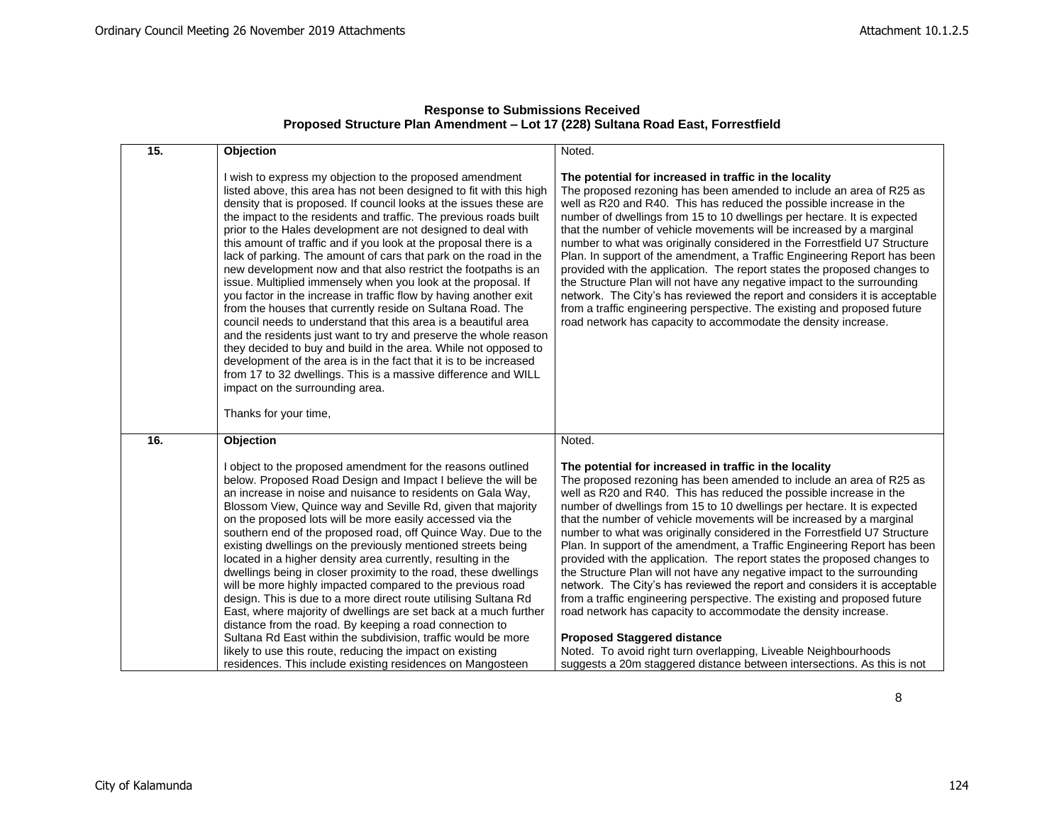| <b>Response to Submissions Received</b>                                          |
|----------------------------------------------------------------------------------|
| Proposed Structure Plan Amendment - Lot 17 (228) Sultana Road East, Forrestfield |

| 15. | Objection                                                                                                                                                                                                                                                                                                                                                                                                                                                                                                                                                                                                                                                                                                                                                                                                                                                                                                                                                                                                                                                                                                                                                             | Noted.                                                                                                                                                                                                                                                                                                                                                                                                                                                                                                                                                                                                                                                                                                                                                                                                                                                                                                                                                                                                                                                                                 |
|-----|-----------------------------------------------------------------------------------------------------------------------------------------------------------------------------------------------------------------------------------------------------------------------------------------------------------------------------------------------------------------------------------------------------------------------------------------------------------------------------------------------------------------------------------------------------------------------------------------------------------------------------------------------------------------------------------------------------------------------------------------------------------------------------------------------------------------------------------------------------------------------------------------------------------------------------------------------------------------------------------------------------------------------------------------------------------------------------------------------------------------------------------------------------------------------|----------------------------------------------------------------------------------------------------------------------------------------------------------------------------------------------------------------------------------------------------------------------------------------------------------------------------------------------------------------------------------------------------------------------------------------------------------------------------------------------------------------------------------------------------------------------------------------------------------------------------------------------------------------------------------------------------------------------------------------------------------------------------------------------------------------------------------------------------------------------------------------------------------------------------------------------------------------------------------------------------------------------------------------------------------------------------------------|
|     | I wish to express my objection to the proposed amendment<br>listed above, this area has not been designed to fit with this high<br>density that is proposed. If council looks at the issues these are<br>the impact to the residents and traffic. The previous roads built<br>prior to the Hales development are not designed to deal with<br>this amount of traffic and if you look at the proposal there is a<br>lack of parking. The amount of cars that park on the road in the<br>new development now and that also restrict the footpaths is an<br>issue. Multiplied immensely when you look at the proposal. If<br>you factor in the increase in traffic flow by having another exit<br>from the houses that currently reside on Sultana Road. The<br>council needs to understand that this area is a beautiful area<br>and the residents just want to try and preserve the whole reason<br>they decided to buy and build in the area. While not opposed to<br>development of the area is in the fact that it is to be increased<br>from 17 to 32 dwellings. This is a massive difference and WILL<br>impact on the surrounding area.<br>Thanks for your time, | The potential for increased in traffic in the locality<br>The proposed rezoning has been amended to include an area of R25 as<br>well as R20 and R40. This has reduced the possible increase in the<br>number of dwellings from 15 to 10 dwellings per hectare. It is expected<br>that the number of vehicle movements will be increased by a marginal<br>number to what was originally considered in the Forrestfield U7 Structure<br>Plan. In support of the amendment, a Traffic Engineering Report has been<br>provided with the application. The report states the proposed changes to<br>the Structure Plan will not have any negative impact to the surrounding<br>network. The City's has reviewed the report and considers it is acceptable<br>from a traffic engineering perspective. The existing and proposed future<br>road network has capacity to accommodate the density increase.                                                                                                                                                                                     |
| 16. | Objection                                                                                                                                                                                                                                                                                                                                                                                                                                                                                                                                                                                                                                                                                                                                                                                                                                                                                                                                                                                                                                                                                                                                                             | Noted.                                                                                                                                                                                                                                                                                                                                                                                                                                                                                                                                                                                                                                                                                                                                                                                                                                                                                                                                                                                                                                                                                 |
|     | I object to the proposed amendment for the reasons outlined<br>below. Proposed Road Design and Impact I believe the will be<br>an increase in noise and nuisance to residents on Gala Way,<br>Blossom View, Quince way and Seville Rd, given that majority<br>on the proposed lots will be more easily accessed via the<br>southern end of the proposed road, off Quince Way. Due to the<br>existing dwellings on the previously mentioned streets being<br>located in a higher density area currently, resulting in the<br>dwellings being in closer proximity to the road, these dwellings<br>will be more highly impacted compared to the previous road<br>design. This is due to a more direct route utilising Sultana Rd<br>East, where majority of dwellings are set back at a much further<br>distance from the road. By keeping a road connection to<br>Sultana Rd East within the subdivision, traffic would be more<br>likely to use this route, reducing the impact on existing<br>residences. This include existing residences on Mangosteen                                                                                                              | The potential for increased in traffic in the locality<br>The proposed rezoning has been amended to include an area of R25 as<br>well as R20 and R40. This has reduced the possible increase in the<br>number of dwellings from 15 to 10 dwellings per hectare. It is expected<br>that the number of vehicle movements will be increased by a marginal<br>number to what was originally considered in the Forrestfield U7 Structure<br>Plan. In support of the amendment, a Traffic Engineering Report has been<br>provided with the application. The report states the proposed changes to<br>the Structure Plan will not have any negative impact to the surrounding<br>network. The City's has reviewed the report and considers it is acceptable<br>from a traffic engineering perspective. The existing and proposed future<br>road network has capacity to accommodate the density increase.<br><b>Proposed Staggered distance</b><br>Noted. To avoid right turn overlapping, Liveable Neighbourhoods<br>suggests a 20m staggered distance between intersections. As this is not |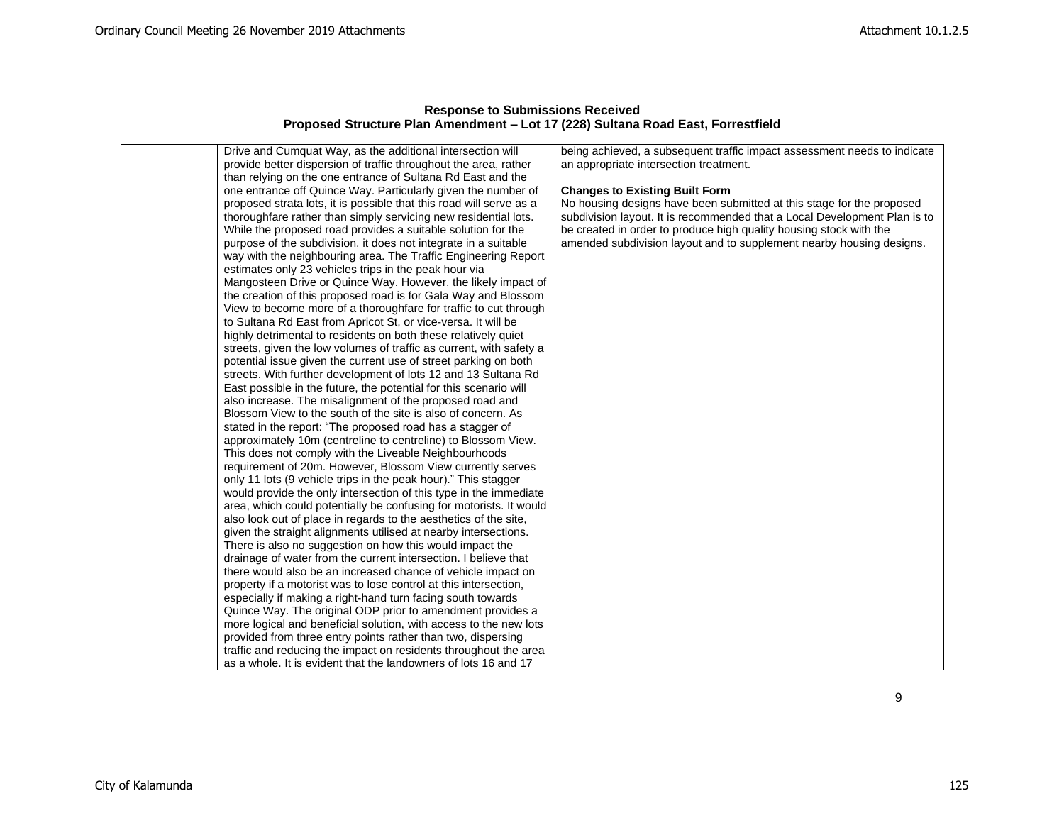| provide better dispersion of traffic throughout the area, rather<br>an appropriate intersection treatment.<br>than relying on the one entrance of Sultana Rd East and the<br>one entrance off Quince Way. Particularly given the number of<br><b>Changes to Existing Built Form</b><br>proposed strata lots, it is possible that this road will serve as a<br>No housing designs have been submitted at this stage for the proposed<br>thoroughfare rather than simply servicing new residential lots.<br>subdivision layout. It is recommended that a Local Development Plan is to<br>While the proposed road provides a suitable solution for the<br>be created in order to produce high quality housing stock with the<br>amended subdivision layout and to supplement nearby housing designs.<br>purpose of the subdivision, it does not integrate in a suitable<br>way with the neighbouring area. The Traffic Engineering Report<br>estimates only 23 vehicles trips in the peak hour via<br>Mangosteen Drive or Quince Way. However, the likely impact of<br>the creation of this proposed road is for Gala Way and Blossom<br>View to become more of a thoroughfare for traffic to cut through<br>to Sultana Rd East from Apricot St, or vice-versa. It will be<br>highly detrimental to residents on both these relatively quiet<br>streets, given the low volumes of traffic as current, with safety a<br>potential issue given the current use of street parking on both<br>streets. With further development of lots 12 and 13 Sultana Rd<br>East possible in the future, the potential for this scenario will<br>also increase. The misalignment of the proposed road and<br>Blossom View to the south of the site is also of concern. As<br>stated in the report: "The proposed road has a stagger of<br>approximately 10m (centreline to centreline) to Blossom View.<br>This does not comply with the Liveable Neighbourhoods<br>requirement of 20m. However, Blossom View currently serves<br>only 11 lots (9 vehicle trips in the peak hour)." This stagger<br>would provide the only intersection of this type in the immediate<br>area, which could potentially be confusing for motorists. It would<br>also look out of place in regards to the aesthetics of the site,<br>given the straight alignments utilised at nearby intersections.<br>There is also no suggestion on how this would impact the<br>drainage of water from the current intersection. I believe that<br>there would also be an increased chance of vehicle impact on<br>property if a motorist was to lose control at this intersection,<br>especially if making a right-hand turn facing south towards<br>Quince Way. The original ODP prior to amendment provides a<br>more logical and beneficial solution, with access to the new lots<br>provided from three entry points rather than two, dispersing<br>traffic and reducing the impact on residents throughout the area<br>as a whole. It is evident that the landowners of lots 16 and 17 |                                                            |                                                                          |
|---------------------------------------------------------------------------------------------------------------------------------------------------------------------------------------------------------------------------------------------------------------------------------------------------------------------------------------------------------------------------------------------------------------------------------------------------------------------------------------------------------------------------------------------------------------------------------------------------------------------------------------------------------------------------------------------------------------------------------------------------------------------------------------------------------------------------------------------------------------------------------------------------------------------------------------------------------------------------------------------------------------------------------------------------------------------------------------------------------------------------------------------------------------------------------------------------------------------------------------------------------------------------------------------------------------------------------------------------------------------------------------------------------------------------------------------------------------------------------------------------------------------------------------------------------------------------------------------------------------------------------------------------------------------------------------------------------------------------------------------------------------------------------------------------------------------------------------------------------------------------------------------------------------------------------------------------------------------------------------------------------------------------------------------------------------------------------------------------------------------------------------------------------------------------------------------------------------------------------------------------------------------------------------------------------------------------------------------------------------------------------------------------------------------------------------------------------------------------------------------------------------------------------------------------------------------------------------------------------------------------------------------------------------------------------------------------------------------------------------------------------------------------------------------------------------------------------------------------------------------------------------------------------------------------------------------------------------------------------------------------------------------------------------------|------------------------------------------------------------|--------------------------------------------------------------------------|
|                                                                                                                                                                                                                                                                                                                                                                                                                                                                                                                                                                                                                                                                                                                                                                                                                                                                                                                                                                                                                                                                                                                                                                                                                                                                                                                                                                                                                                                                                                                                                                                                                                                                                                                                                                                                                                                                                                                                                                                                                                                                                                                                                                                                                                                                                                                                                                                                                                                                                                                                                                                                                                                                                                                                                                                                                                                                                                                                                                                                                                             | Drive and Cumquat Way, as the additional intersection will | being achieved, a subsequent traffic impact assessment needs to indicate |
|                                                                                                                                                                                                                                                                                                                                                                                                                                                                                                                                                                                                                                                                                                                                                                                                                                                                                                                                                                                                                                                                                                                                                                                                                                                                                                                                                                                                                                                                                                                                                                                                                                                                                                                                                                                                                                                                                                                                                                                                                                                                                                                                                                                                                                                                                                                                                                                                                                                                                                                                                                                                                                                                                                                                                                                                                                                                                                                                                                                                                                             |                                                            |                                                                          |
|                                                                                                                                                                                                                                                                                                                                                                                                                                                                                                                                                                                                                                                                                                                                                                                                                                                                                                                                                                                                                                                                                                                                                                                                                                                                                                                                                                                                                                                                                                                                                                                                                                                                                                                                                                                                                                                                                                                                                                                                                                                                                                                                                                                                                                                                                                                                                                                                                                                                                                                                                                                                                                                                                                                                                                                                                                                                                                                                                                                                                                             |                                                            |                                                                          |
|                                                                                                                                                                                                                                                                                                                                                                                                                                                                                                                                                                                                                                                                                                                                                                                                                                                                                                                                                                                                                                                                                                                                                                                                                                                                                                                                                                                                                                                                                                                                                                                                                                                                                                                                                                                                                                                                                                                                                                                                                                                                                                                                                                                                                                                                                                                                                                                                                                                                                                                                                                                                                                                                                                                                                                                                                                                                                                                                                                                                                                             |                                                            |                                                                          |
|                                                                                                                                                                                                                                                                                                                                                                                                                                                                                                                                                                                                                                                                                                                                                                                                                                                                                                                                                                                                                                                                                                                                                                                                                                                                                                                                                                                                                                                                                                                                                                                                                                                                                                                                                                                                                                                                                                                                                                                                                                                                                                                                                                                                                                                                                                                                                                                                                                                                                                                                                                                                                                                                                                                                                                                                                                                                                                                                                                                                                                             |                                                            |                                                                          |
|                                                                                                                                                                                                                                                                                                                                                                                                                                                                                                                                                                                                                                                                                                                                                                                                                                                                                                                                                                                                                                                                                                                                                                                                                                                                                                                                                                                                                                                                                                                                                                                                                                                                                                                                                                                                                                                                                                                                                                                                                                                                                                                                                                                                                                                                                                                                                                                                                                                                                                                                                                                                                                                                                                                                                                                                                                                                                                                                                                                                                                             |                                                            |                                                                          |
|                                                                                                                                                                                                                                                                                                                                                                                                                                                                                                                                                                                                                                                                                                                                                                                                                                                                                                                                                                                                                                                                                                                                                                                                                                                                                                                                                                                                                                                                                                                                                                                                                                                                                                                                                                                                                                                                                                                                                                                                                                                                                                                                                                                                                                                                                                                                                                                                                                                                                                                                                                                                                                                                                                                                                                                                                                                                                                                                                                                                                                             |                                                            |                                                                          |
|                                                                                                                                                                                                                                                                                                                                                                                                                                                                                                                                                                                                                                                                                                                                                                                                                                                                                                                                                                                                                                                                                                                                                                                                                                                                                                                                                                                                                                                                                                                                                                                                                                                                                                                                                                                                                                                                                                                                                                                                                                                                                                                                                                                                                                                                                                                                                                                                                                                                                                                                                                                                                                                                                                                                                                                                                                                                                                                                                                                                                                             |                                                            |                                                                          |
|                                                                                                                                                                                                                                                                                                                                                                                                                                                                                                                                                                                                                                                                                                                                                                                                                                                                                                                                                                                                                                                                                                                                                                                                                                                                                                                                                                                                                                                                                                                                                                                                                                                                                                                                                                                                                                                                                                                                                                                                                                                                                                                                                                                                                                                                                                                                                                                                                                                                                                                                                                                                                                                                                                                                                                                                                                                                                                                                                                                                                                             |                                                            |                                                                          |
|                                                                                                                                                                                                                                                                                                                                                                                                                                                                                                                                                                                                                                                                                                                                                                                                                                                                                                                                                                                                                                                                                                                                                                                                                                                                                                                                                                                                                                                                                                                                                                                                                                                                                                                                                                                                                                                                                                                                                                                                                                                                                                                                                                                                                                                                                                                                                                                                                                                                                                                                                                                                                                                                                                                                                                                                                                                                                                                                                                                                                                             |                                                            |                                                                          |
|                                                                                                                                                                                                                                                                                                                                                                                                                                                                                                                                                                                                                                                                                                                                                                                                                                                                                                                                                                                                                                                                                                                                                                                                                                                                                                                                                                                                                                                                                                                                                                                                                                                                                                                                                                                                                                                                                                                                                                                                                                                                                                                                                                                                                                                                                                                                                                                                                                                                                                                                                                                                                                                                                                                                                                                                                                                                                                                                                                                                                                             |                                                            |                                                                          |
|                                                                                                                                                                                                                                                                                                                                                                                                                                                                                                                                                                                                                                                                                                                                                                                                                                                                                                                                                                                                                                                                                                                                                                                                                                                                                                                                                                                                                                                                                                                                                                                                                                                                                                                                                                                                                                                                                                                                                                                                                                                                                                                                                                                                                                                                                                                                                                                                                                                                                                                                                                                                                                                                                                                                                                                                                                                                                                                                                                                                                                             |                                                            |                                                                          |
|                                                                                                                                                                                                                                                                                                                                                                                                                                                                                                                                                                                                                                                                                                                                                                                                                                                                                                                                                                                                                                                                                                                                                                                                                                                                                                                                                                                                                                                                                                                                                                                                                                                                                                                                                                                                                                                                                                                                                                                                                                                                                                                                                                                                                                                                                                                                                                                                                                                                                                                                                                                                                                                                                                                                                                                                                                                                                                                                                                                                                                             |                                                            |                                                                          |
|                                                                                                                                                                                                                                                                                                                                                                                                                                                                                                                                                                                                                                                                                                                                                                                                                                                                                                                                                                                                                                                                                                                                                                                                                                                                                                                                                                                                                                                                                                                                                                                                                                                                                                                                                                                                                                                                                                                                                                                                                                                                                                                                                                                                                                                                                                                                                                                                                                                                                                                                                                                                                                                                                                                                                                                                                                                                                                                                                                                                                                             |                                                            |                                                                          |
|                                                                                                                                                                                                                                                                                                                                                                                                                                                                                                                                                                                                                                                                                                                                                                                                                                                                                                                                                                                                                                                                                                                                                                                                                                                                                                                                                                                                                                                                                                                                                                                                                                                                                                                                                                                                                                                                                                                                                                                                                                                                                                                                                                                                                                                                                                                                                                                                                                                                                                                                                                                                                                                                                                                                                                                                                                                                                                                                                                                                                                             |                                                            |                                                                          |
|                                                                                                                                                                                                                                                                                                                                                                                                                                                                                                                                                                                                                                                                                                                                                                                                                                                                                                                                                                                                                                                                                                                                                                                                                                                                                                                                                                                                                                                                                                                                                                                                                                                                                                                                                                                                                                                                                                                                                                                                                                                                                                                                                                                                                                                                                                                                                                                                                                                                                                                                                                                                                                                                                                                                                                                                                                                                                                                                                                                                                                             |                                                            |                                                                          |
|                                                                                                                                                                                                                                                                                                                                                                                                                                                                                                                                                                                                                                                                                                                                                                                                                                                                                                                                                                                                                                                                                                                                                                                                                                                                                                                                                                                                                                                                                                                                                                                                                                                                                                                                                                                                                                                                                                                                                                                                                                                                                                                                                                                                                                                                                                                                                                                                                                                                                                                                                                                                                                                                                                                                                                                                                                                                                                                                                                                                                                             |                                                            |                                                                          |
|                                                                                                                                                                                                                                                                                                                                                                                                                                                                                                                                                                                                                                                                                                                                                                                                                                                                                                                                                                                                                                                                                                                                                                                                                                                                                                                                                                                                                                                                                                                                                                                                                                                                                                                                                                                                                                                                                                                                                                                                                                                                                                                                                                                                                                                                                                                                                                                                                                                                                                                                                                                                                                                                                                                                                                                                                                                                                                                                                                                                                                             |                                                            |                                                                          |
|                                                                                                                                                                                                                                                                                                                                                                                                                                                                                                                                                                                                                                                                                                                                                                                                                                                                                                                                                                                                                                                                                                                                                                                                                                                                                                                                                                                                                                                                                                                                                                                                                                                                                                                                                                                                                                                                                                                                                                                                                                                                                                                                                                                                                                                                                                                                                                                                                                                                                                                                                                                                                                                                                                                                                                                                                                                                                                                                                                                                                                             |                                                            |                                                                          |
|                                                                                                                                                                                                                                                                                                                                                                                                                                                                                                                                                                                                                                                                                                                                                                                                                                                                                                                                                                                                                                                                                                                                                                                                                                                                                                                                                                                                                                                                                                                                                                                                                                                                                                                                                                                                                                                                                                                                                                                                                                                                                                                                                                                                                                                                                                                                                                                                                                                                                                                                                                                                                                                                                                                                                                                                                                                                                                                                                                                                                                             |                                                            |                                                                          |
|                                                                                                                                                                                                                                                                                                                                                                                                                                                                                                                                                                                                                                                                                                                                                                                                                                                                                                                                                                                                                                                                                                                                                                                                                                                                                                                                                                                                                                                                                                                                                                                                                                                                                                                                                                                                                                                                                                                                                                                                                                                                                                                                                                                                                                                                                                                                                                                                                                                                                                                                                                                                                                                                                                                                                                                                                                                                                                                                                                                                                                             |                                                            |                                                                          |
|                                                                                                                                                                                                                                                                                                                                                                                                                                                                                                                                                                                                                                                                                                                                                                                                                                                                                                                                                                                                                                                                                                                                                                                                                                                                                                                                                                                                                                                                                                                                                                                                                                                                                                                                                                                                                                                                                                                                                                                                                                                                                                                                                                                                                                                                                                                                                                                                                                                                                                                                                                                                                                                                                                                                                                                                                                                                                                                                                                                                                                             |                                                            |                                                                          |
|                                                                                                                                                                                                                                                                                                                                                                                                                                                                                                                                                                                                                                                                                                                                                                                                                                                                                                                                                                                                                                                                                                                                                                                                                                                                                                                                                                                                                                                                                                                                                                                                                                                                                                                                                                                                                                                                                                                                                                                                                                                                                                                                                                                                                                                                                                                                                                                                                                                                                                                                                                                                                                                                                                                                                                                                                                                                                                                                                                                                                                             |                                                            |                                                                          |
|                                                                                                                                                                                                                                                                                                                                                                                                                                                                                                                                                                                                                                                                                                                                                                                                                                                                                                                                                                                                                                                                                                                                                                                                                                                                                                                                                                                                                                                                                                                                                                                                                                                                                                                                                                                                                                                                                                                                                                                                                                                                                                                                                                                                                                                                                                                                                                                                                                                                                                                                                                                                                                                                                                                                                                                                                                                                                                                                                                                                                                             |                                                            |                                                                          |
|                                                                                                                                                                                                                                                                                                                                                                                                                                                                                                                                                                                                                                                                                                                                                                                                                                                                                                                                                                                                                                                                                                                                                                                                                                                                                                                                                                                                                                                                                                                                                                                                                                                                                                                                                                                                                                                                                                                                                                                                                                                                                                                                                                                                                                                                                                                                                                                                                                                                                                                                                                                                                                                                                                                                                                                                                                                                                                                                                                                                                                             |                                                            |                                                                          |
|                                                                                                                                                                                                                                                                                                                                                                                                                                                                                                                                                                                                                                                                                                                                                                                                                                                                                                                                                                                                                                                                                                                                                                                                                                                                                                                                                                                                                                                                                                                                                                                                                                                                                                                                                                                                                                                                                                                                                                                                                                                                                                                                                                                                                                                                                                                                                                                                                                                                                                                                                                                                                                                                                                                                                                                                                                                                                                                                                                                                                                             |                                                            |                                                                          |
|                                                                                                                                                                                                                                                                                                                                                                                                                                                                                                                                                                                                                                                                                                                                                                                                                                                                                                                                                                                                                                                                                                                                                                                                                                                                                                                                                                                                                                                                                                                                                                                                                                                                                                                                                                                                                                                                                                                                                                                                                                                                                                                                                                                                                                                                                                                                                                                                                                                                                                                                                                                                                                                                                                                                                                                                                                                                                                                                                                                                                                             |                                                            |                                                                          |
|                                                                                                                                                                                                                                                                                                                                                                                                                                                                                                                                                                                                                                                                                                                                                                                                                                                                                                                                                                                                                                                                                                                                                                                                                                                                                                                                                                                                                                                                                                                                                                                                                                                                                                                                                                                                                                                                                                                                                                                                                                                                                                                                                                                                                                                                                                                                                                                                                                                                                                                                                                                                                                                                                                                                                                                                                                                                                                                                                                                                                                             |                                                            |                                                                          |
|                                                                                                                                                                                                                                                                                                                                                                                                                                                                                                                                                                                                                                                                                                                                                                                                                                                                                                                                                                                                                                                                                                                                                                                                                                                                                                                                                                                                                                                                                                                                                                                                                                                                                                                                                                                                                                                                                                                                                                                                                                                                                                                                                                                                                                                                                                                                                                                                                                                                                                                                                                                                                                                                                                                                                                                                                                                                                                                                                                                                                                             |                                                            |                                                                          |
|                                                                                                                                                                                                                                                                                                                                                                                                                                                                                                                                                                                                                                                                                                                                                                                                                                                                                                                                                                                                                                                                                                                                                                                                                                                                                                                                                                                                                                                                                                                                                                                                                                                                                                                                                                                                                                                                                                                                                                                                                                                                                                                                                                                                                                                                                                                                                                                                                                                                                                                                                                                                                                                                                                                                                                                                                                                                                                                                                                                                                                             |                                                            |                                                                          |
|                                                                                                                                                                                                                                                                                                                                                                                                                                                                                                                                                                                                                                                                                                                                                                                                                                                                                                                                                                                                                                                                                                                                                                                                                                                                                                                                                                                                                                                                                                                                                                                                                                                                                                                                                                                                                                                                                                                                                                                                                                                                                                                                                                                                                                                                                                                                                                                                                                                                                                                                                                                                                                                                                                                                                                                                                                                                                                                                                                                                                                             |                                                            |                                                                          |
|                                                                                                                                                                                                                                                                                                                                                                                                                                                                                                                                                                                                                                                                                                                                                                                                                                                                                                                                                                                                                                                                                                                                                                                                                                                                                                                                                                                                                                                                                                                                                                                                                                                                                                                                                                                                                                                                                                                                                                                                                                                                                                                                                                                                                                                                                                                                                                                                                                                                                                                                                                                                                                                                                                                                                                                                                                                                                                                                                                                                                                             |                                                            |                                                                          |
|                                                                                                                                                                                                                                                                                                                                                                                                                                                                                                                                                                                                                                                                                                                                                                                                                                                                                                                                                                                                                                                                                                                                                                                                                                                                                                                                                                                                                                                                                                                                                                                                                                                                                                                                                                                                                                                                                                                                                                                                                                                                                                                                                                                                                                                                                                                                                                                                                                                                                                                                                                                                                                                                                                                                                                                                                                                                                                                                                                                                                                             |                                                            |                                                                          |
|                                                                                                                                                                                                                                                                                                                                                                                                                                                                                                                                                                                                                                                                                                                                                                                                                                                                                                                                                                                                                                                                                                                                                                                                                                                                                                                                                                                                                                                                                                                                                                                                                                                                                                                                                                                                                                                                                                                                                                                                                                                                                                                                                                                                                                                                                                                                                                                                                                                                                                                                                                                                                                                                                                                                                                                                                                                                                                                                                                                                                                             |                                                            |                                                                          |
|                                                                                                                                                                                                                                                                                                                                                                                                                                                                                                                                                                                                                                                                                                                                                                                                                                                                                                                                                                                                                                                                                                                                                                                                                                                                                                                                                                                                                                                                                                                                                                                                                                                                                                                                                                                                                                                                                                                                                                                                                                                                                                                                                                                                                                                                                                                                                                                                                                                                                                                                                                                                                                                                                                                                                                                                                                                                                                                                                                                                                                             |                                                            |                                                                          |
|                                                                                                                                                                                                                                                                                                                                                                                                                                                                                                                                                                                                                                                                                                                                                                                                                                                                                                                                                                                                                                                                                                                                                                                                                                                                                                                                                                                                                                                                                                                                                                                                                                                                                                                                                                                                                                                                                                                                                                                                                                                                                                                                                                                                                                                                                                                                                                                                                                                                                                                                                                                                                                                                                                                                                                                                                                                                                                                                                                                                                                             |                                                            |                                                                          |
|                                                                                                                                                                                                                                                                                                                                                                                                                                                                                                                                                                                                                                                                                                                                                                                                                                                                                                                                                                                                                                                                                                                                                                                                                                                                                                                                                                                                                                                                                                                                                                                                                                                                                                                                                                                                                                                                                                                                                                                                                                                                                                                                                                                                                                                                                                                                                                                                                                                                                                                                                                                                                                                                                                                                                                                                                                                                                                                                                                                                                                             |                                                            |                                                                          |
|                                                                                                                                                                                                                                                                                                                                                                                                                                                                                                                                                                                                                                                                                                                                                                                                                                                                                                                                                                                                                                                                                                                                                                                                                                                                                                                                                                                                                                                                                                                                                                                                                                                                                                                                                                                                                                                                                                                                                                                                                                                                                                                                                                                                                                                                                                                                                                                                                                                                                                                                                                                                                                                                                                                                                                                                                                                                                                                                                                                                                                             |                                                            |                                                                          |
|                                                                                                                                                                                                                                                                                                                                                                                                                                                                                                                                                                                                                                                                                                                                                                                                                                                                                                                                                                                                                                                                                                                                                                                                                                                                                                                                                                                                                                                                                                                                                                                                                                                                                                                                                                                                                                                                                                                                                                                                                                                                                                                                                                                                                                                                                                                                                                                                                                                                                                                                                                                                                                                                                                                                                                                                                                                                                                                                                                                                                                             |                                                            |                                                                          |
|                                                                                                                                                                                                                                                                                                                                                                                                                                                                                                                                                                                                                                                                                                                                                                                                                                                                                                                                                                                                                                                                                                                                                                                                                                                                                                                                                                                                                                                                                                                                                                                                                                                                                                                                                                                                                                                                                                                                                                                                                                                                                                                                                                                                                                                                                                                                                                                                                                                                                                                                                                                                                                                                                                                                                                                                                                                                                                                                                                                                                                             |                                                            |                                                                          |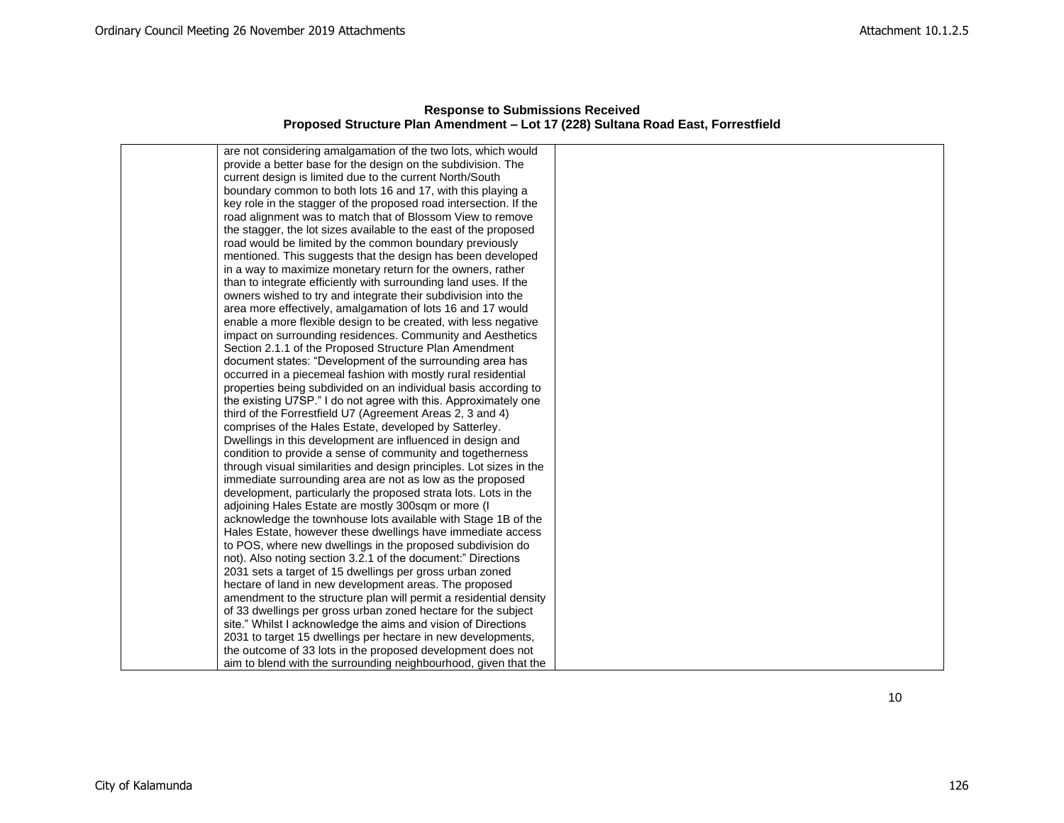| <b>Response to Submissions Received</b>                                          |  |  |  |
|----------------------------------------------------------------------------------|--|--|--|
| Proposed Structure Plan Amendment – Lot 17 (228) Sultana Road East, Forrestfield |  |  |  |

| are not considering amalgamation of the two lots, which would       |  |
|---------------------------------------------------------------------|--|
| provide a better base for the design on the subdivision. The        |  |
| current design is limited due to the current North/South            |  |
| boundary common to both lots 16 and 17, with this playing a         |  |
| key role in the stagger of the proposed road intersection. If the   |  |
| road alignment was to match that of Blossom View to remove          |  |
| the stagger, the lot sizes available to the east of the proposed    |  |
| road would be limited by the common boundary previously             |  |
| mentioned. This suggests that the design has been developed         |  |
| in a way to maximize monetary return for the owners, rather         |  |
| than to integrate efficiently with surrounding land uses. If the    |  |
| owners wished to try and integrate their subdivision into the       |  |
| area more effectively, amalgamation of lots 16 and 17 would         |  |
| enable a more flexible design to be created, with less negative     |  |
| impact on surrounding residences. Community and Aesthetics          |  |
| Section 2.1.1 of the Proposed Structure Plan Amendment              |  |
| document states: "Development of the surrounding area has           |  |
| occurred in a piecemeal fashion with mostly rural residential       |  |
| properties being subdivided on an individual basis according to     |  |
| the existing U7SP." I do not agree with this. Approximately one     |  |
| third of the Forrestfield U7 (Agreement Areas 2, 3 and 4)           |  |
| comprises of the Hales Estate, developed by Satterley.              |  |
| Dwellings in this development are influenced in design and          |  |
| condition to provide a sense of community and togetherness          |  |
| through visual similarities and design principles. Lot sizes in the |  |
| immediate surrounding area are not as low as the proposed           |  |
| development, particularly the proposed strata lots. Lots in the     |  |
| adjoining Hales Estate are mostly 300sqm or more (I                 |  |
| acknowledge the townhouse lots available with Stage 1B of the       |  |
| Hales Estate, however these dwellings have immediate access         |  |
| to POS, where new dwellings in the proposed subdivision do          |  |
| not). Also noting section 3.2.1 of the document:" Directions        |  |
| 2031 sets a target of 15 dwellings per gross urban zoned            |  |
| hectare of land in new development areas. The proposed              |  |
| amendment to the structure plan will permit a residential density   |  |
| of 33 dwellings per gross urban zoned hectare for the subject       |  |
| site." Whilst I acknowledge the aims and vision of Directions       |  |
| 2031 to target 15 dwellings per hectare in new developments,        |  |
| the outcome of 33 lots in the proposed development does not         |  |
| aim to blend with the surrounding neighbourhood, given that the     |  |

10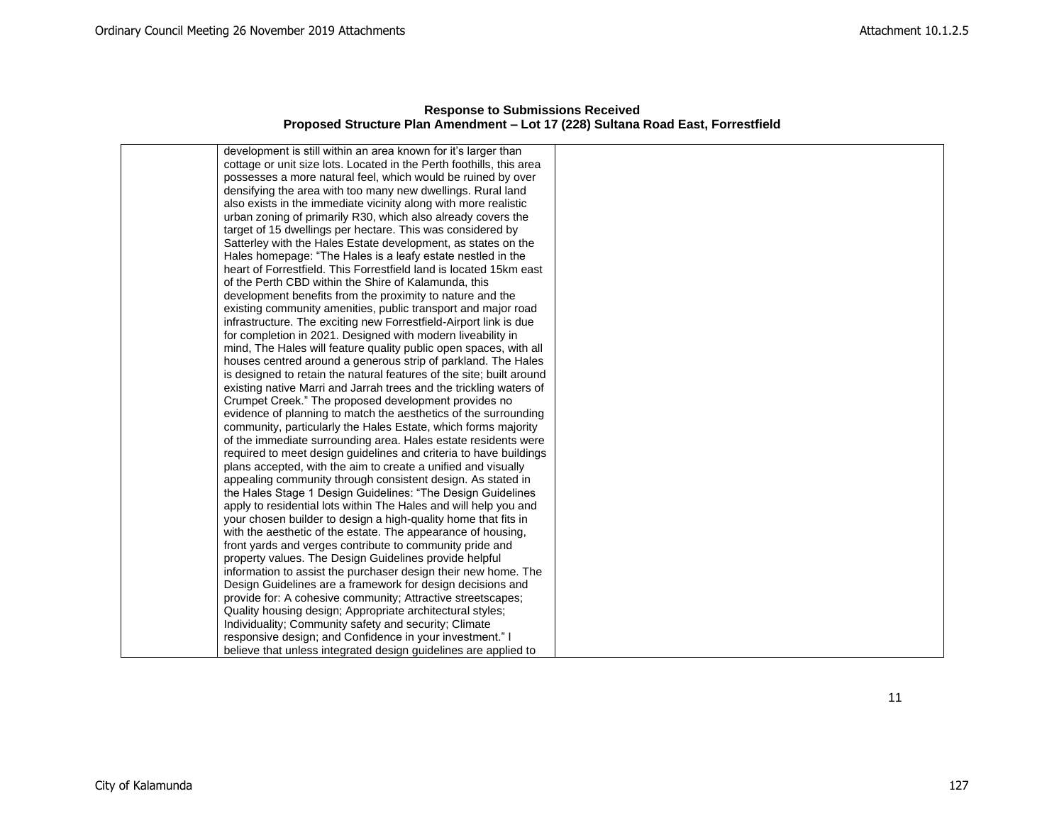| <b>Response to Submissions Received</b>                                          |  |  |  |
|----------------------------------------------------------------------------------|--|--|--|
| Proposed Structure Plan Amendment – Lot 17 (228) Sultana Road East, Forrestfield |  |  |  |

| development is still within an area known for it's larger than       |  |
|----------------------------------------------------------------------|--|
| cottage or unit size lots. Located in the Perth foothills, this area |  |
| possesses a more natural feel, which would be ruined by over         |  |
| densifying the area with too many new dwellings. Rural land          |  |
| also exists in the immediate vicinity along with more realistic      |  |
| urban zoning of primarily R30, which also already covers the         |  |
| target of 15 dwellings per hectare. This was considered by           |  |
| Satterley with the Hales Estate development, as states on the        |  |
| Hales homepage: "The Hales is a leafy estate nestled in the          |  |
| heart of Forrestfield. This Forrestfield land is located 15km east   |  |
| of the Perth CBD within the Shire of Kalamunda, this                 |  |
| development benefits from the proximity to nature and the            |  |
| existing community amenities, public transport and major road        |  |
| infrastructure. The exciting new Forrestfield-Airport link is due    |  |
| for completion in 2021. Designed with modern liveability in          |  |
| mind, The Hales will feature quality public open spaces, with all    |  |
| houses centred around a generous strip of parkland. The Hales        |  |
| is designed to retain the natural features of the site; built around |  |
| existing native Marri and Jarrah trees and the trickling waters of   |  |
| Crumpet Creek." The proposed development provides no                 |  |
| evidence of planning to match the aesthetics of the surrounding      |  |
| community, particularly the Hales Estate, which forms majority       |  |
| of the immediate surrounding area. Hales estate residents were       |  |
| required to meet design guidelines and criteria to have buildings    |  |
| plans accepted, with the aim to create a unified and visually        |  |
| appealing community through consistent design. As stated in          |  |
| the Hales Stage 1 Design Guidelines: "The Design Guidelines          |  |
| apply to residential lots within The Hales and will help you and     |  |
| your chosen builder to design a high-quality home that fits in       |  |
| with the aesthetic of the estate. The appearance of housing,         |  |
| front yards and verges contribute to community pride and             |  |
| property values. The Design Guidelines provide helpful               |  |
| information to assist the purchaser design their new home. The       |  |
| Design Guidelines are a framework for design decisions and           |  |
| provide for: A cohesive community; Attractive streetscapes;          |  |
| Quality housing design; Appropriate architectural styles;            |  |
| Individuality; Community safety and security; Climate                |  |
| responsive design; and Confidence in your investment." I             |  |
| believe that unless integrated design guidelines are applied to      |  |

11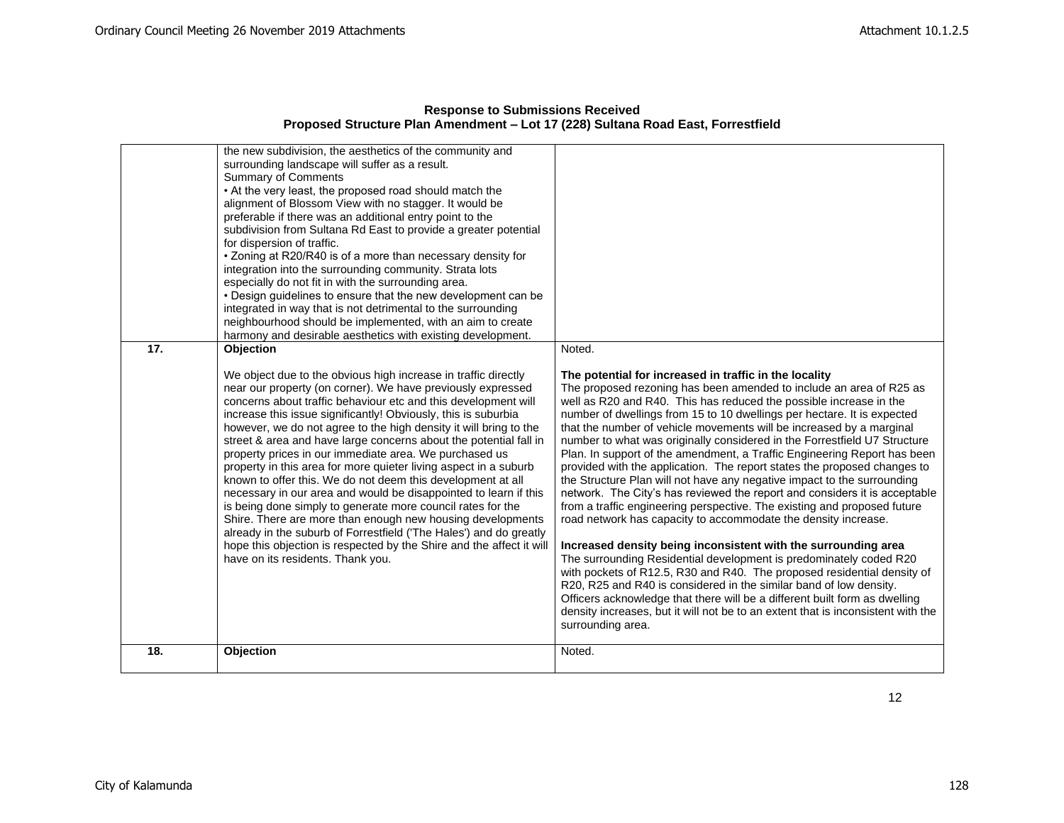|     | the new subdivision, the aesthetics of the community and<br>surrounding landscape will suffer as a result.<br><b>Summary of Comments</b><br>• At the very least, the proposed road should match the<br>alignment of Blossom View with no stagger. It would be<br>preferable if there was an additional entry point to the<br>subdivision from Sultana Rd East to provide a greater potential<br>for dispersion of traffic.<br>• Zoning at R20/R40 is of a more than necessary density for<br>integration into the surrounding community. Strata lots<br>especially do not fit in with the surrounding area.<br>• Design quidelines to ensure that the new development can be<br>integrated in way that is not detrimental to the surrounding<br>neighbourhood should be implemented, with an aim to create<br>harmony and desirable aesthetics with existing development.                                                                                                                                 |                                                                                                                                                                                                                                                                                                                                                                                                                                                                                                                                                                                                                                                                                                                                                                                                                                                                                                                                                                                                                                                                                                                                                                                                                                                                                                                                                                                              |
|-----|-----------------------------------------------------------------------------------------------------------------------------------------------------------------------------------------------------------------------------------------------------------------------------------------------------------------------------------------------------------------------------------------------------------------------------------------------------------------------------------------------------------------------------------------------------------------------------------------------------------------------------------------------------------------------------------------------------------------------------------------------------------------------------------------------------------------------------------------------------------------------------------------------------------------------------------------------------------------------------------------------------------|----------------------------------------------------------------------------------------------------------------------------------------------------------------------------------------------------------------------------------------------------------------------------------------------------------------------------------------------------------------------------------------------------------------------------------------------------------------------------------------------------------------------------------------------------------------------------------------------------------------------------------------------------------------------------------------------------------------------------------------------------------------------------------------------------------------------------------------------------------------------------------------------------------------------------------------------------------------------------------------------------------------------------------------------------------------------------------------------------------------------------------------------------------------------------------------------------------------------------------------------------------------------------------------------------------------------------------------------------------------------------------------------|
| 17. | Objection<br>We object due to the obvious high increase in traffic directly<br>near our property (on corner). We have previously expressed<br>concerns about traffic behaviour etc and this development will<br>increase this issue significantly! Obviously, this is suburbia<br>however, we do not agree to the high density it will bring to the<br>street & area and have large concerns about the potential fall in<br>property prices in our immediate area. We purchased us<br>property in this area for more quieter living aspect in a suburb<br>known to offer this. We do not deem this development at all<br>necessary in our area and would be disappointed to learn if this<br>is being done simply to generate more council rates for the<br>Shire. There are more than enough new housing developments<br>already in the suburb of Forrestfield ('The Hales') and do greatly<br>hope this objection is respected by the Shire and the affect it will<br>have on its residents. Thank you. | Noted.<br>The potential for increased in traffic in the locality<br>The proposed rezoning has been amended to include an area of R25 as<br>well as R20 and R40. This has reduced the possible increase in the<br>number of dwellings from 15 to 10 dwellings per hectare. It is expected<br>that the number of vehicle movements will be increased by a marginal<br>number to what was originally considered in the Forrestfield U7 Structure<br>Plan. In support of the amendment, a Traffic Engineering Report has been<br>provided with the application. The report states the proposed changes to<br>the Structure Plan will not have any negative impact to the surrounding<br>network. The City's has reviewed the report and considers it is acceptable<br>from a traffic engineering perspective. The existing and proposed future<br>road network has capacity to accommodate the density increase.<br>Increased density being inconsistent with the surrounding area<br>The surrounding Residential development is predominately coded R20<br>with pockets of R12.5, R30 and R40. The proposed residential density of<br>R20, R25 and R40 is considered in the similar band of low density.<br>Officers acknowledge that there will be a different built form as dwelling<br>density increases, but it will not be to an extent that is inconsistent with the<br>surrounding area. |
| 18. | Objection                                                                                                                                                                                                                                                                                                                                                                                                                                                                                                                                                                                                                                                                                                                                                                                                                                                                                                                                                                                                 | Noted.                                                                                                                                                                                                                                                                                                                                                                                                                                                                                                                                                                                                                                                                                                                                                                                                                                                                                                                                                                                                                                                                                                                                                                                                                                                                                                                                                                                       |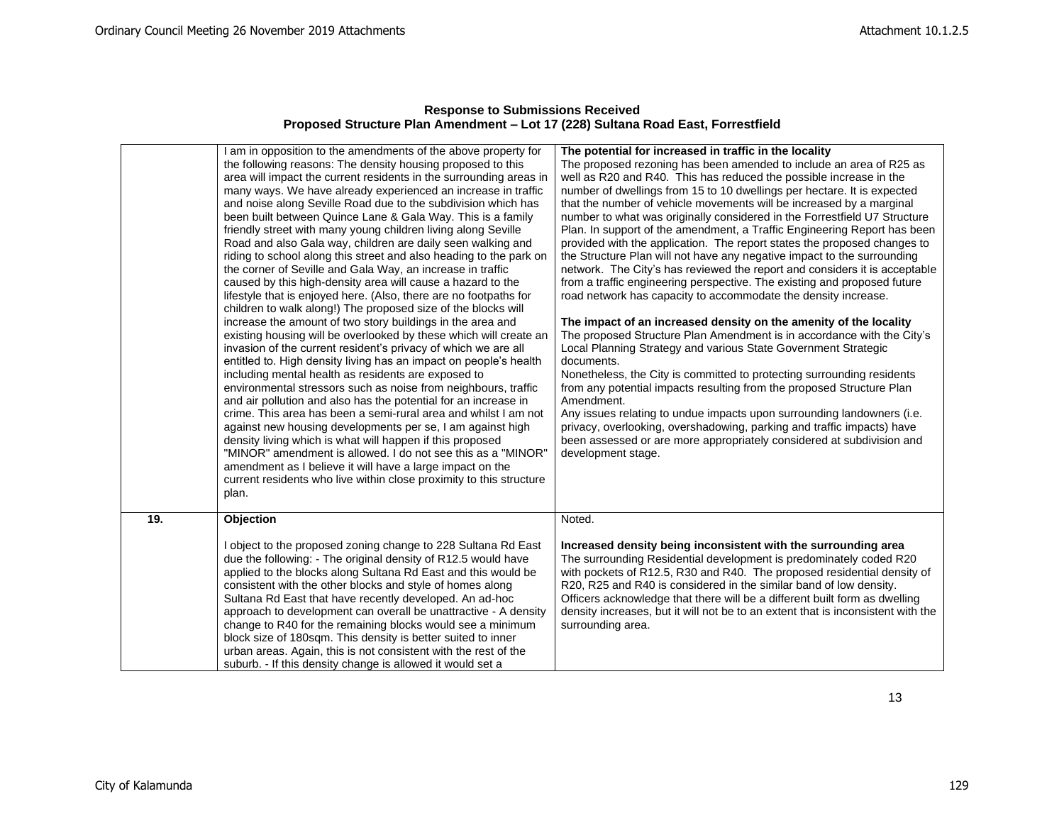|     | am in opposition to the amendments of the above property for<br>the following reasons: The density housing proposed to this | The potential for increased in traffic in the locality<br>The proposed rezoning has been amended to include an area of R25 as                    |
|-----|-----------------------------------------------------------------------------------------------------------------------------|--------------------------------------------------------------------------------------------------------------------------------------------------|
|     | area will impact the current residents in the surrounding areas in                                                          | well as R20 and R40. This has reduced the possible increase in the                                                                               |
|     | many ways. We have already experienced an increase in traffic                                                               | number of dwellings from 15 to 10 dwellings per hectare. It is expected                                                                          |
|     | and noise along Seville Road due to the subdivision which has                                                               | that the number of vehicle movements will be increased by a marginal                                                                             |
|     | been built between Quince Lane & Gala Way. This is a family                                                                 | number to what was originally considered in the Forrestfield U7 Structure                                                                        |
|     | friendly street with many young children living along Seville                                                               | Plan. In support of the amendment, a Traffic Engineering Report has been                                                                         |
|     | Road and also Gala way, children are daily seen walking and                                                                 | provided with the application. The report states the proposed changes to                                                                         |
|     | riding to school along this street and also heading to the park on                                                          | the Structure Plan will not have any negative impact to the surrounding                                                                          |
|     | the corner of Seville and Gala Way, an increase in traffic                                                                  | network. The City's has reviewed the report and considers it is acceptable                                                                       |
|     | caused by this high-density area will cause a hazard to the                                                                 | from a traffic engineering perspective. The existing and proposed future                                                                         |
|     | lifestyle that is enjoyed here. (Also, there are no footpaths for                                                           | road network has capacity to accommodate the density increase.                                                                                   |
|     | children to walk along!) The proposed size of the blocks will                                                               |                                                                                                                                                  |
|     | increase the amount of two story buildings in the area and                                                                  | The impact of an increased density on the amenity of the locality                                                                                |
|     | existing housing will be overlooked by these which will create an                                                           | The proposed Structure Plan Amendment is in accordance with the City's                                                                           |
|     | invasion of the current resident's privacy of which we are all                                                              | Local Planning Strategy and various State Government Strategic                                                                                   |
|     | entitled to. High density living has an impact on people's health                                                           | documents.                                                                                                                                       |
|     | including mental health as residents are exposed to                                                                         | Nonetheless, the City is committed to protecting surrounding residents                                                                           |
|     | environmental stressors such as noise from neighbours, traffic                                                              | from any potential impacts resulting from the proposed Structure Plan                                                                            |
|     | and air pollution and also has the potential for an increase in                                                             | Amendment.                                                                                                                                       |
|     | crime. This area has been a semi-rural area and whilst I am not                                                             | Any issues relating to undue impacts upon surrounding landowners (i.e.                                                                           |
|     | against new housing developments per se, I am against high                                                                  | privacy, overlooking, overshadowing, parking and traffic impacts) have                                                                           |
|     | density living which is what will happen if this proposed                                                                   | been assessed or are more appropriately considered at subdivision and                                                                            |
|     | "MINOR" amendment is allowed. I do not see this as a "MINOR"                                                                | development stage.                                                                                                                               |
|     | amendment as I believe it will have a large impact on the                                                                   |                                                                                                                                                  |
|     | current residents who live within close proximity to this structure                                                         |                                                                                                                                                  |
|     | plan.                                                                                                                       |                                                                                                                                                  |
| 19. | Objection                                                                                                                   | Noted.                                                                                                                                           |
|     |                                                                                                                             |                                                                                                                                                  |
|     | I object to the proposed zoning change to 228 Sultana Rd East                                                               | Increased density being inconsistent with the surrounding area                                                                                   |
|     | due the following: - The original density of R12.5 would have                                                               | The surrounding Residential development is predominately coded R20                                                                               |
|     | applied to the blocks along Sultana Rd East and this would be                                                               | with pockets of R12.5, R30 and R40. The proposed residential density of                                                                          |
|     | consistent with the other blocks and style of homes along<br>Sultana Rd East that have recently developed. An ad-hoc        | R20, R25 and R40 is considered in the similar band of low density.<br>Officers acknowledge that there will be a different built form as dwelling |
|     | approach to development can overall be unattractive - A density                                                             | density increases, but it will not be to an extent that is inconsistent with the                                                                 |
|     | change to R40 for the remaining blocks would see a minimum                                                                  | surrounding area.                                                                                                                                |
|     | block size of 180sqm. This density is better suited to inner                                                                |                                                                                                                                                  |
|     | urban areas. Again, this is not consistent with the rest of the                                                             |                                                                                                                                                  |
|     | suburb. - If this density change is allowed it would set a                                                                  |                                                                                                                                                  |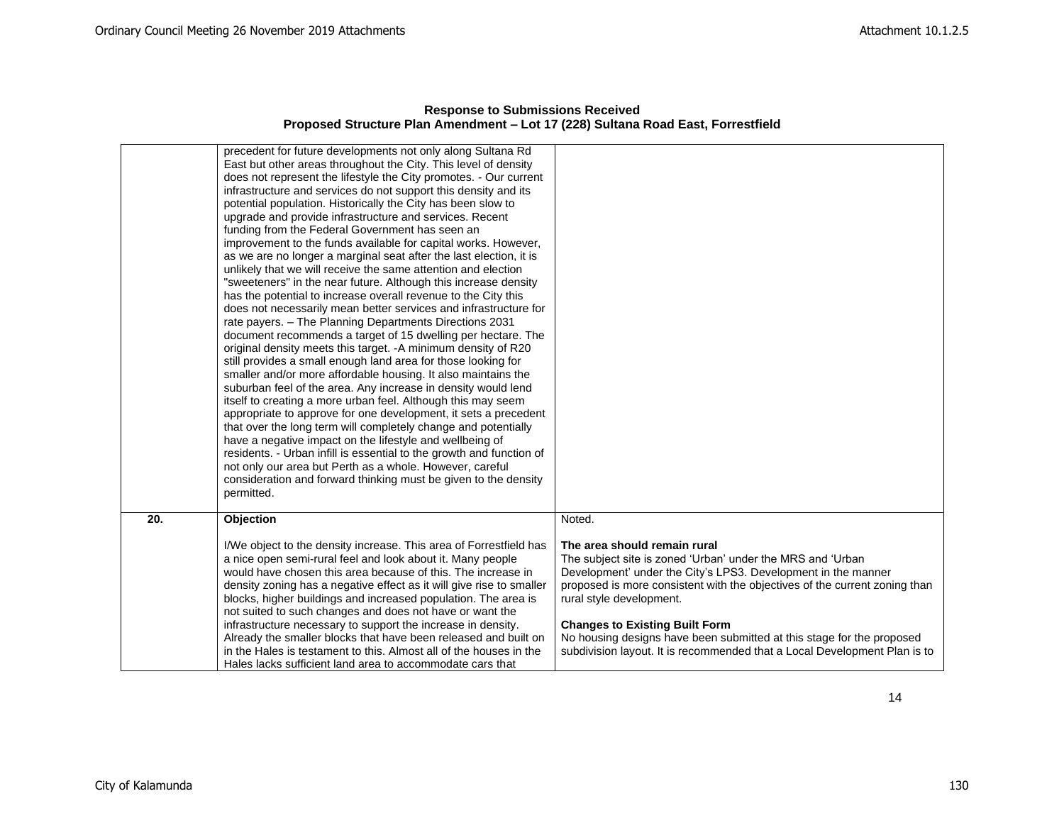|     | precedent for future developments not only along Sultana Rd<br>East but other areas throughout the City. This level of density<br>does not represent the lifestyle the City promotes. - Our current<br>infrastructure and services do not support this density and its<br>potential population. Historically the City has been slow to<br>upgrade and provide infrastructure and services. Recent<br>funding from the Federal Government has seen an<br>improvement to the funds available for capital works. However,<br>as we are no longer a marginal seat after the last election, it is<br>unlikely that we will receive the same attention and election<br>"sweeteners" in the near future. Although this increase density<br>has the potential to increase overall revenue to the City this<br>does not necessarily mean better services and infrastructure for<br>rate payers. - The Planning Departments Directions 2031<br>document recommends a target of 15 dwelling per hectare. The<br>original density meets this target. - A minimum density of R20<br>still provides a small enough land area for those looking for<br>smaller and/or more affordable housing. It also maintains the<br>suburban feel of the area. Any increase in density would lend<br>itself to creating a more urban feel. Although this may seem<br>appropriate to approve for one development, it sets a precedent<br>that over the long term will completely change and potentially<br>have a negative impact on the lifestyle and wellbeing of<br>residents. - Urban infill is essential to the growth and function of<br>not only our area but Perth as a whole. However, careful<br>consideration and forward thinking must be given to the density<br>permitted. |                                                                                                                                                                                                                                                                                                                                                                                                                                                                      |
|-----|--------------------------------------------------------------------------------------------------------------------------------------------------------------------------------------------------------------------------------------------------------------------------------------------------------------------------------------------------------------------------------------------------------------------------------------------------------------------------------------------------------------------------------------------------------------------------------------------------------------------------------------------------------------------------------------------------------------------------------------------------------------------------------------------------------------------------------------------------------------------------------------------------------------------------------------------------------------------------------------------------------------------------------------------------------------------------------------------------------------------------------------------------------------------------------------------------------------------------------------------------------------------------------------------------------------------------------------------------------------------------------------------------------------------------------------------------------------------------------------------------------------------------------------------------------------------------------------------------------------------------------------------------------------------------------------------------------------------------------------------------------------|----------------------------------------------------------------------------------------------------------------------------------------------------------------------------------------------------------------------------------------------------------------------------------------------------------------------------------------------------------------------------------------------------------------------------------------------------------------------|
| 20. | Objection                                                                                                                                                                                                                                                                                                                                                                                                                                                                                                                                                                                                                                                                                                                                                                                                                                                                                                                                                                                                                                                                                                                                                                                                                                                                                                                                                                                                                                                                                                                                                                                                                                                                                                                                                    | Noted.                                                                                                                                                                                                                                                                                                                                                                                                                                                               |
|     | I/We object to the density increase. This area of Forrestfield has<br>a nice open semi-rural feel and look about it. Many people<br>would have chosen this area because of this. The increase in<br>density zoning has a negative effect as it will give rise to smaller<br>blocks, higher buildings and increased population. The area is<br>not suited to such changes and does not have or want the<br>infrastructure necessary to support the increase in density.<br>Already the smaller blocks that have been released and built on<br>in the Hales is testament to this. Almost all of the houses in the<br>Hales lacks sufficient land area to accommodate cars that                                                                                                                                                                                                                                                                                                                                                                                                                                                                                                                                                                                                                                                                                                                                                                                                                                                                                                                                                                                                                                                                                 | The area should remain rural<br>The subject site is zoned 'Urban' under the MRS and 'Urban<br>Development' under the City's LPS3. Development in the manner<br>proposed is more consistent with the objectives of the current zoning than<br>rural style development.<br><b>Changes to Existing Built Form</b><br>No housing designs have been submitted at this stage for the proposed<br>subdivision layout. It is recommended that a Local Development Plan is to |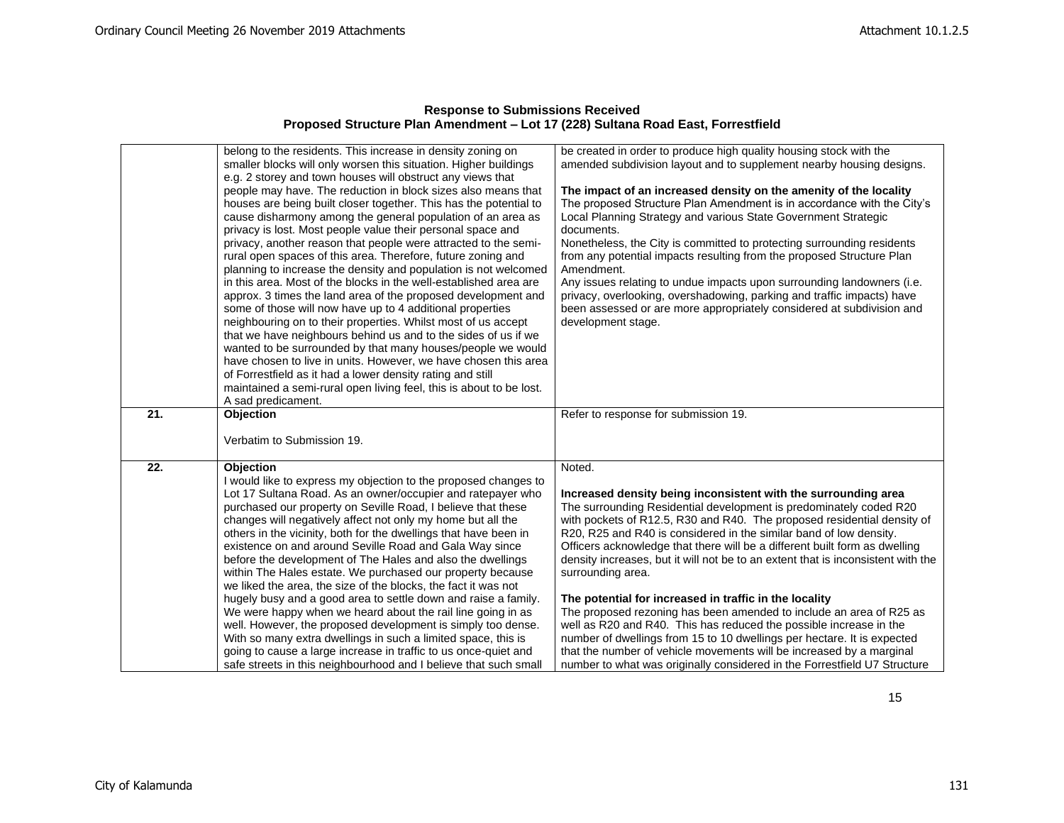| <b>Response to Submissions Received</b>                                          |
|----------------------------------------------------------------------------------|
| Proposed Structure Plan Amendment - Lot 17 (228) Sultana Road East, Forrestfield |

|     | belong to the residents. This increase in density zoning on                                                                         | be created in order to produce high quality housing stock with the                                                                                |
|-----|-------------------------------------------------------------------------------------------------------------------------------------|---------------------------------------------------------------------------------------------------------------------------------------------------|
|     | smaller blocks will only worsen this situation. Higher buildings                                                                    | amended subdivision layout and to supplement nearby housing designs.                                                                              |
|     | e.g. 2 storey and town houses will obstruct any views that                                                                          |                                                                                                                                                   |
|     | people may have. The reduction in block sizes also means that                                                                       | The impact of an increased density on the amenity of the locality                                                                                 |
|     | houses are being built closer together. This has the potential to                                                                   | The proposed Structure Plan Amendment is in accordance with the City's                                                                            |
|     | cause disharmony among the general population of an area as                                                                         | Local Planning Strategy and various State Government Strategic                                                                                    |
|     | privacy is lost. Most people value their personal space and                                                                         | documents.                                                                                                                                        |
|     | privacy, another reason that people were attracted to the semi-                                                                     | Nonetheless, the City is committed to protecting surrounding residents                                                                            |
|     | rural open spaces of this area. Therefore, future zoning and                                                                        | from any potential impacts resulting from the proposed Structure Plan                                                                             |
|     | planning to increase the density and population is not welcomed                                                                     | Amendment.                                                                                                                                        |
|     | in this area. Most of the blocks in the well-established area are                                                                   | Any issues relating to undue impacts upon surrounding landowners (i.e.                                                                            |
|     | approx. 3 times the land area of the proposed development and                                                                       | privacy, overlooking, overshadowing, parking and traffic impacts) have                                                                            |
|     | some of those will now have up to 4 additional properties                                                                           | been assessed or are more appropriately considered at subdivision and                                                                             |
|     | neighbouring on to their properties. Whilst most of us accept                                                                       | development stage.                                                                                                                                |
|     | that we have neighbours behind us and to the sides of us if we                                                                      |                                                                                                                                                   |
|     | wanted to be surrounded by that many houses/people we would                                                                         |                                                                                                                                                   |
|     | have chosen to live in units. However, we have chosen this area                                                                     |                                                                                                                                                   |
|     | of Forrestfield as it had a lower density rating and still                                                                          |                                                                                                                                                   |
|     | maintained a semi-rural open living feel, this is about to be lost.                                                                 |                                                                                                                                                   |
|     | A sad predicament.                                                                                                                  |                                                                                                                                                   |
|     |                                                                                                                                     |                                                                                                                                                   |
| 21. | Objection                                                                                                                           | Refer to response for submission 19.                                                                                                              |
|     |                                                                                                                                     |                                                                                                                                                   |
|     | Verbatim to Submission 19.                                                                                                          |                                                                                                                                                   |
| 22. |                                                                                                                                     |                                                                                                                                                   |
|     | <b>Objection</b>                                                                                                                    | Noted.                                                                                                                                            |
|     | I would like to express my objection to the proposed changes to                                                                     |                                                                                                                                                   |
|     | Lot 17 Sultana Road. As an owner/occupier and ratepayer who<br>purchased our property on Seville Road, I believe that these         | Increased density being inconsistent with the surrounding area                                                                                    |
|     | changes will negatively affect not only my home but all the                                                                         | The surrounding Residential development is predominately coded R20<br>with pockets of R12.5, R30 and R40. The proposed residential density of     |
|     | others in the vicinity, both for the dwellings that have been in                                                                    | R20, R25 and R40 is considered in the similar band of low density.                                                                                |
|     | existence on and around Seville Road and Gala Way since                                                                             | Officers acknowledge that there will be a different built form as dwelling                                                                        |
|     | before the development of The Hales and also the dwellings                                                                          | density increases, but it will not be to an extent that is inconsistent with the                                                                  |
|     | within The Hales estate. We purchased our property because                                                                          | surrounding area.                                                                                                                                 |
|     | we liked the area, the size of the blocks, the fact it was not                                                                      |                                                                                                                                                   |
|     | hugely busy and a good area to settle down and raise a family.                                                                      | The potential for increased in traffic in the locality                                                                                            |
|     | We were happy when we heard about the rail line going in as                                                                         | The proposed rezoning has been amended to include an area of R25 as                                                                               |
|     | well. However, the proposed development is simply too dense.                                                                        | well as R20 and R40. This has reduced the possible increase in the                                                                                |
|     | With so many extra dwellings in such a limited space, this is                                                                       | number of dwellings from 15 to 10 dwellings per hectare. It is expected                                                                           |
|     | going to cause a large increase in traffic to us once-quiet and<br>safe streets in this neighbourhood and I believe that such small | that the number of vehicle movements will be increased by a marginal<br>number to what was originally considered in the Forrestfield U7 Structure |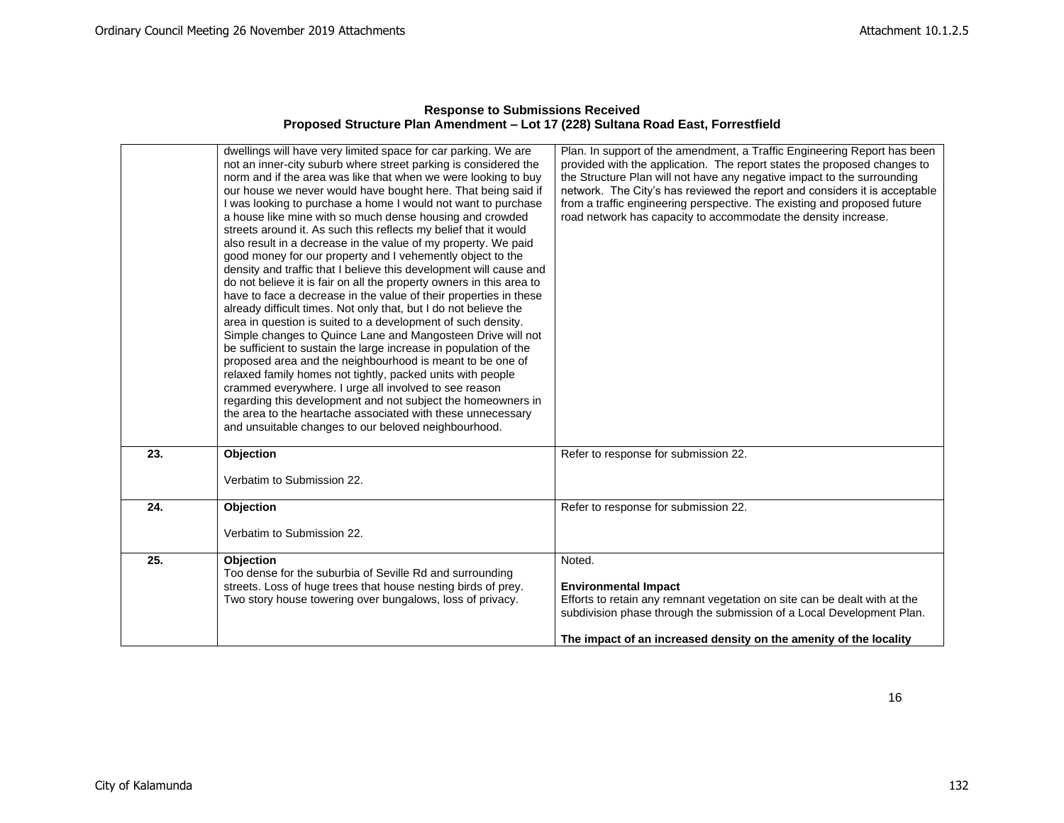|     | dwellings will have very limited space for car parking. We are<br>not an inner-city suburb where street parking is considered the<br>norm and if the area was like that when we were looking to buy<br>our house we never would have bought here. That being said if<br>I was looking to purchase a home I would not want to purchase<br>a house like mine with so much dense housing and crowded<br>streets around it. As such this reflects my belief that it would<br>also result in a decrease in the value of my property. We paid<br>good money for our property and I vehemently object to the<br>density and traffic that I believe this development will cause and<br>do not believe it is fair on all the property owners in this area to<br>have to face a decrease in the value of their properties in these<br>already difficult times. Not only that, but I do not believe the<br>area in question is suited to a development of such density.<br>Simple changes to Quince Lane and Mangosteen Drive will not<br>be sufficient to sustain the large increase in population of the<br>proposed area and the neighbourhood is meant to be one of<br>relaxed family homes not tightly, packed units with people<br>crammed everywhere. I urge all involved to see reason<br>regarding this development and not subject the homeowners in<br>the area to the heartache associated with these unnecessary<br>and unsuitable changes to our beloved neighbourhood. | Plan. In support of the amendment, a Traffic Engineering Report has been<br>provided with the application. The report states the proposed changes to<br>the Structure Plan will not have any negative impact to the surrounding<br>network. The City's has reviewed the report and considers it is acceptable<br>from a traffic engineering perspective. The existing and proposed future<br>road network has capacity to accommodate the density increase. |
|-----|----------------------------------------------------------------------------------------------------------------------------------------------------------------------------------------------------------------------------------------------------------------------------------------------------------------------------------------------------------------------------------------------------------------------------------------------------------------------------------------------------------------------------------------------------------------------------------------------------------------------------------------------------------------------------------------------------------------------------------------------------------------------------------------------------------------------------------------------------------------------------------------------------------------------------------------------------------------------------------------------------------------------------------------------------------------------------------------------------------------------------------------------------------------------------------------------------------------------------------------------------------------------------------------------------------------------------------------------------------------------------------------------------------------------------------------------------------------------------|-------------------------------------------------------------------------------------------------------------------------------------------------------------------------------------------------------------------------------------------------------------------------------------------------------------------------------------------------------------------------------------------------------------------------------------------------------------|
| 23. | Objection<br>Verbatim to Submission 22.                                                                                                                                                                                                                                                                                                                                                                                                                                                                                                                                                                                                                                                                                                                                                                                                                                                                                                                                                                                                                                                                                                                                                                                                                                                                                                                                                                                                                                    | Refer to response for submission 22.                                                                                                                                                                                                                                                                                                                                                                                                                        |
| 24. | <b>Objection</b><br>Verbatim to Submission 22.                                                                                                                                                                                                                                                                                                                                                                                                                                                                                                                                                                                                                                                                                                                                                                                                                                                                                                                                                                                                                                                                                                                                                                                                                                                                                                                                                                                                                             | Refer to response for submission 22.                                                                                                                                                                                                                                                                                                                                                                                                                        |
| 25. | Objection<br>Too dense for the suburbia of Seville Rd and surrounding<br>streets. Loss of huge trees that house nesting birds of prey.<br>Two story house towering over bungalows, loss of privacy.                                                                                                                                                                                                                                                                                                                                                                                                                                                                                                                                                                                                                                                                                                                                                                                                                                                                                                                                                                                                                                                                                                                                                                                                                                                                        | Noted.<br><b>Environmental Impact</b><br>Efforts to retain any remnant vegetation on site can be dealt with at the<br>subdivision phase through the submission of a Local Development Plan.<br>The impact of an increased density on the amenity of the locality                                                                                                                                                                                            |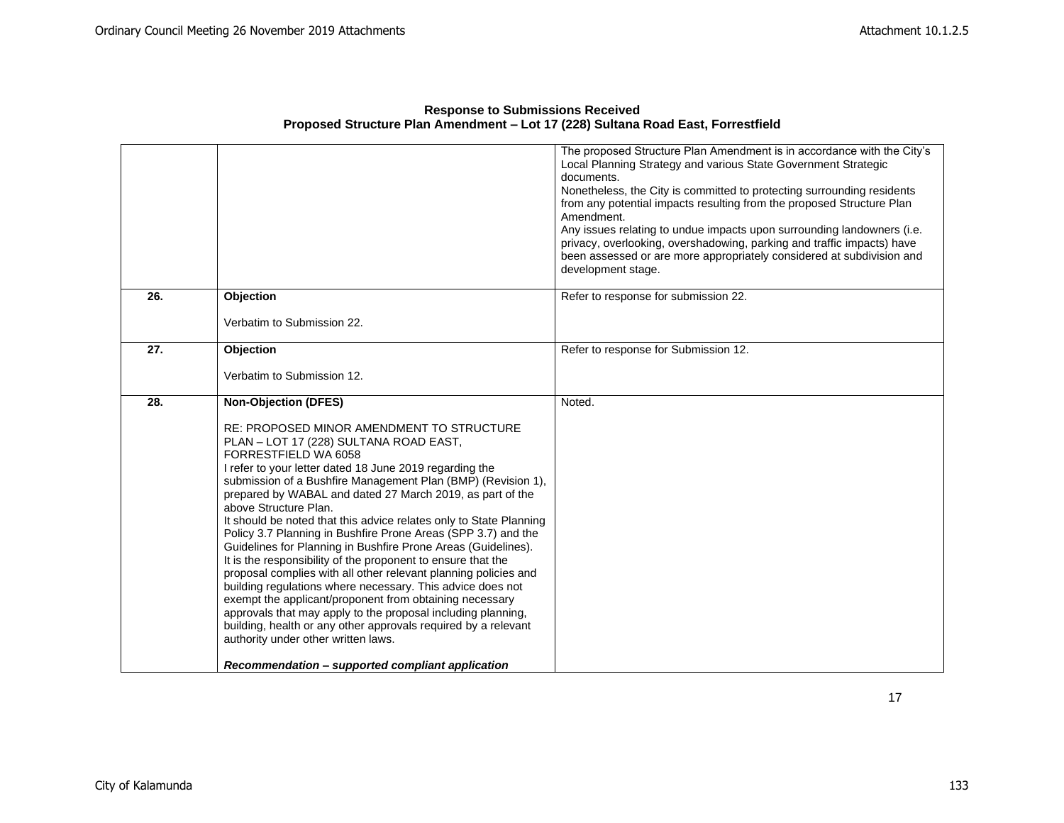|                   |                                                                                                                                                                                                                                                                                                                                                                                                                                                                                                                                                                                                                                                                                                                                                                                                                                                                                                                                                                                                                 | The proposed Structure Plan Amendment is in accordance with the City's<br>Local Planning Strategy and various State Government Strategic<br>documents.<br>Nonetheless, the City is committed to protecting surrounding residents<br>from any potential impacts resulting from the proposed Structure Plan<br>Amendment.<br>Any issues relating to undue impacts upon surrounding landowners (i.e.<br>privacy, overlooking, overshadowing, parking and traffic impacts) have |
|-------------------|-----------------------------------------------------------------------------------------------------------------------------------------------------------------------------------------------------------------------------------------------------------------------------------------------------------------------------------------------------------------------------------------------------------------------------------------------------------------------------------------------------------------------------------------------------------------------------------------------------------------------------------------------------------------------------------------------------------------------------------------------------------------------------------------------------------------------------------------------------------------------------------------------------------------------------------------------------------------------------------------------------------------|-----------------------------------------------------------------------------------------------------------------------------------------------------------------------------------------------------------------------------------------------------------------------------------------------------------------------------------------------------------------------------------------------------------------------------------------------------------------------------|
|                   |                                                                                                                                                                                                                                                                                                                                                                                                                                                                                                                                                                                                                                                                                                                                                                                                                                                                                                                                                                                                                 | been assessed or are more appropriately considered at subdivision and<br>development stage.                                                                                                                                                                                                                                                                                                                                                                                 |
| 26.               | Objection                                                                                                                                                                                                                                                                                                                                                                                                                                                                                                                                                                                                                                                                                                                                                                                                                                                                                                                                                                                                       | Refer to response for submission 22.                                                                                                                                                                                                                                                                                                                                                                                                                                        |
|                   | Verbatim to Submission 22.                                                                                                                                                                                                                                                                                                                                                                                                                                                                                                                                                                                                                                                                                                                                                                                                                                                                                                                                                                                      |                                                                                                                                                                                                                                                                                                                                                                                                                                                                             |
| $\overline{27}$ . | Objection                                                                                                                                                                                                                                                                                                                                                                                                                                                                                                                                                                                                                                                                                                                                                                                                                                                                                                                                                                                                       | Refer to response for Submission 12.                                                                                                                                                                                                                                                                                                                                                                                                                                        |
|                   | Verbatim to Submission 12.                                                                                                                                                                                                                                                                                                                                                                                                                                                                                                                                                                                                                                                                                                                                                                                                                                                                                                                                                                                      |                                                                                                                                                                                                                                                                                                                                                                                                                                                                             |
| 28.               | <b>Non-Objection (DFES)</b><br><b>RE: PROPOSED MINOR AMENDMENT TO STRUCTURE</b><br>PLAN - LOT 17 (228) SULTANA ROAD EAST,<br>FORRESTFIELD WA 6058<br>I refer to your letter dated 18 June 2019 regarding the<br>submission of a Bushfire Management Plan (BMP) (Revision 1),<br>prepared by WABAL and dated 27 March 2019, as part of the<br>above Structure Plan.<br>It should be noted that this advice relates only to State Planning<br>Policy 3.7 Planning in Bushfire Prone Areas (SPP 3.7) and the<br>Guidelines for Planning in Bushfire Prone Areas (Guidelines).<br>It is the responsibility of the proponent to ensure that the<br>proposal complies with all other relevant planning policies and<br>building regulations where necessary. This advice does not<br>exempt the applicant/proponent from obtaining necessary<br>approvals that may apply to the proposal including planning,<br>building, health or any other approvals required by a relevant<br>authority under other written laws. | Noted.                                                                                                                                                                                                                                                                                                                                                                                                                                                                      |
|                   | Recommendation – supported compliant application                                                                                                                                                                                                                                                                                                                                                                                                                                                                                                                                                                                                                                                                                                                                                                                                                                                                                                                                                                |                                                                                                                                                                                                                                                                                                                                                                                                                                                                             |